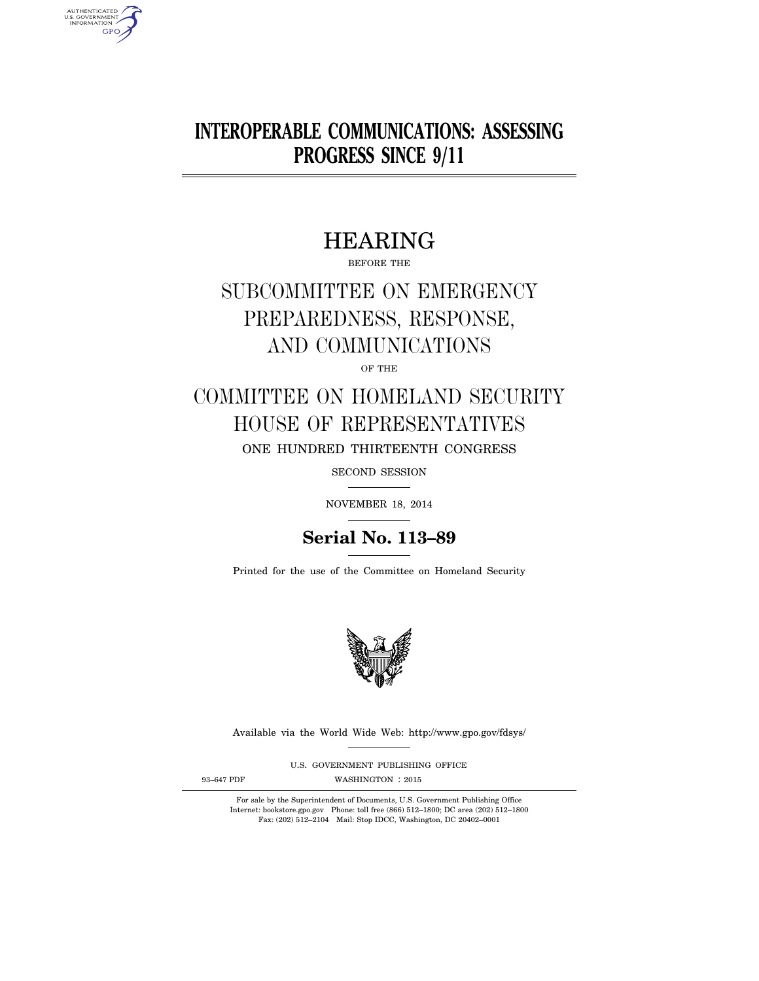# **INTEROPERABLE COMMUNICATIONS: ASSESSING PROGRESS SINCE 9/11**

# HEARING

BEFORE THE

# SUBCOMMITTEE ON EMERGENCY PREPAREDNESS, RESPONSE, AND COMMUNICATIONS

OF THE

# COMMITTEE ON HOMELAND SECURITY HOUSE OF REPRESENTATIVES ONE HUNDRED THIRTEENTH CONGRESS

SECOND SESSION

NOVEMBER 18, 2014

# **Serial No. 113–89**

Printed for the use of the Committee on Homeland Security



Available via the World Wide Web: http://www.gpo.gov/fdsys/

U.S. GOVERNMENT PUBLISHING OFFICE

AUTHENTICATED<br>U.S. GOVERNMENT<br>INFORMATION **GPO** 

93-647 PDF WASHINGTON : 2015

For sale by the Superintendent of Documents, U.S. Government Publishing Office Internet: bookstore.gpo.gov Phone: toll free (866) 512–1800; DC area (202) 512–1800 Fax: (202) 512–2104 Mail: Stop IDCC, Washington, DC 20402–0001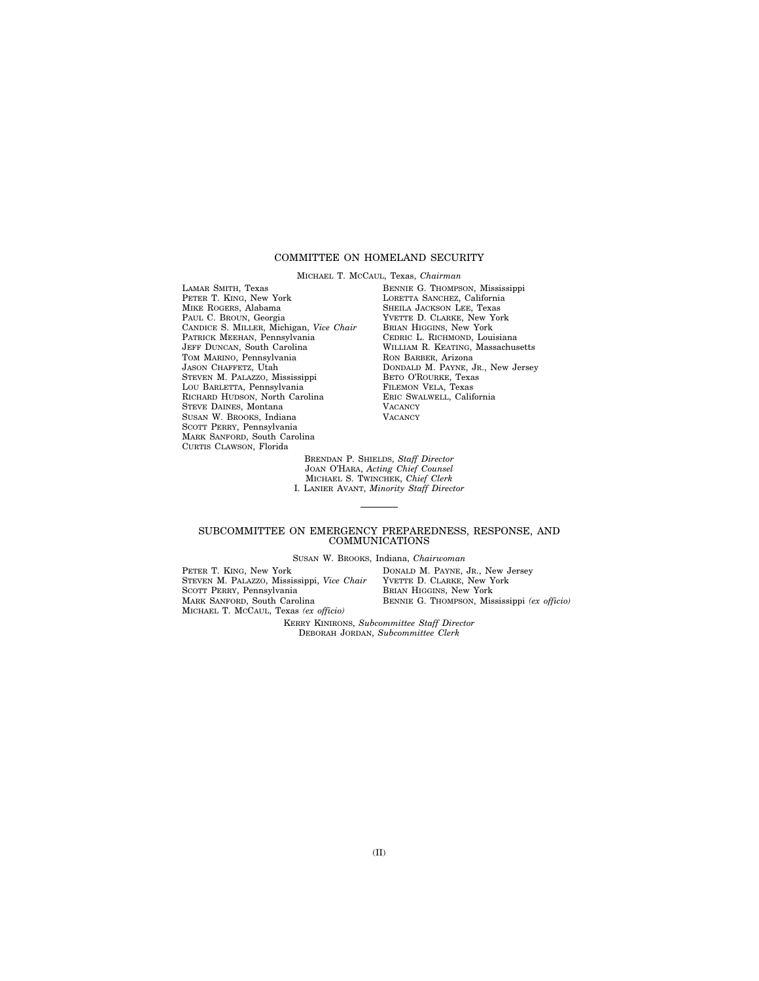# COMMITTEE ON HOMELAND SECURITY

MICHAEL T. MCCAUL, Texas, *Chairman* 

LAMAR SMITH, Texas PETER T. KING, New York MIKE ROGERS, Alabama PAUL C. BROUN, Georgia CANDICE S. MILLER, Michigan, *Vice Chair*  PATRICK MEEHAN, Pennsylvania JEFF DUNCAN, South Carolina TOM MARINO, Pennsylvania JASON CHAFFETZ, Utah STEVEN M. PALAZZO, Mississippi LOU BARLETTA, Pennsylvania RICHARD HUDSON, North Carolina STEVE DAINES, Montana SUSAN W. BROOKS, Indiana SCOTT PERRY, Pennsylvania MARK SANFORD, South Carolina CURTIS CLAWSON, Florida

BENNIE G. THOMPSON, Mississippi LORETTA SANCHEZ, California SHEILA JACKSON LEE, Texas YVETTE D. CLARKE, New York BRIAN HIGGINS, New York CEDRIC L. RICHMOND, Louisiana WILLIAM R. KEATING, Massachusetts RON BARBER, Arizona DONDALD M. PAYNE, JR., New Jersey BETO O'ROURKE, Texas FILEMON VELA, Texas ERIC SWALWELL, California **VACANCY VACANCY** 

BRENDAN P. SHIELDS, *Staff Director*  JOAN O'HARA, *Acting Chief Counsel*  MICHAEL S. TWINCHEK, *Chief Clerk*  I. LANIER AVANT, *Minority Staff Director* 

### SUBCOMMITTEE ON EMERGENCY PREPAREDNESS, RESPONSE, AND COMMUNICATIONS

SUSAN W. BROOKS, Indiana, *Chairwoman* 

PETER T. KING, New York STEVEN M. PALAZZO, Mississippi, *Vice Chair*  SCOTT PERRY, Pennsylvania MARK SANFORD, South Carolina MICHAEL T. MCCAUL, Texas *(ex officio)* 

DONALD M. PAYNE, JR., New Jersey YVETTE D. CLARKE, New York BRIAN HIGGINS, New York BENNIE G. THOMPSON, Mississippi *(ex officio)* 

KERRY KINIRONS, *Subcommittee Staff Director*  DEBORAH JORDAN, *Subcommittee Clerk*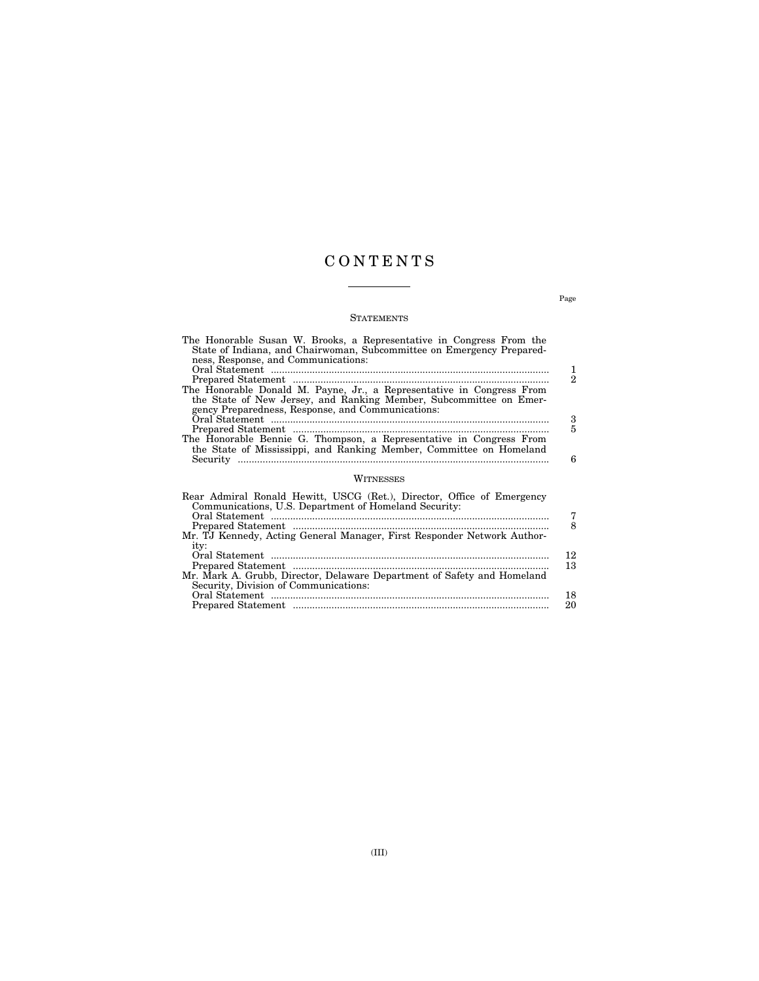# C O N T E N T S

# **STATEMENTS**

| The Honorable Susan W. Brooks, a Representative in Congress From the<br>State of Indiana, and Chairwoman, Subcommittee on Emergency Prepared-<br>ness, Response, and Communications:             |                     |
|--------------------------------------------------------------------------------------------------------------------------------------------------------------------------------------------------|---------------------|
|                                                                                                                                                                                                  | 1<br>$\mathfrak{D}$ |
| The Honorable Donald M. Payne, Jr., a Representative in Congress From<br>the State of New Jersey, and Ranking Member, Subcommittee on Emer-<br>gency Preparedness, Response, and Communications: |                     |
|                                                                                                                                                                                                  | 3                   |
| The Honorable Bennie G. Thompson, a Representative in Congress From                                                                                                                              | 5                   |
| the State of Mississippi, and Ranking Member, Committee on Homeland                                                                                                                              | 6                   |
| WITNESSES                                                                                                                                                                                        |                     |
| Rear Admiral Ronald Hewitt, USCG (Ret.), Director, Office of Emergency<br>Communications, U.S. Department of Homeland Security:                                                                  |                     |
| Mr. TJ Kennedy, Acting General Manager, First Responder Network Author-                                                                                                                          | 7<br>8              |
| ity:                                                                                                                                                                                             |                     |
|                                                                                                                                                                                                  | 12                  |
| Mr. Mark A. Grubb, Director, Delaware Department of Safety and Homeland                                                                                                                          | 13                  |
| Security, Division of Communications:                                                                                                                                                            | 18                  |
|                                                                                                                                                                                                  |                     |

Prepared Statement ............................................................................................. 20

Page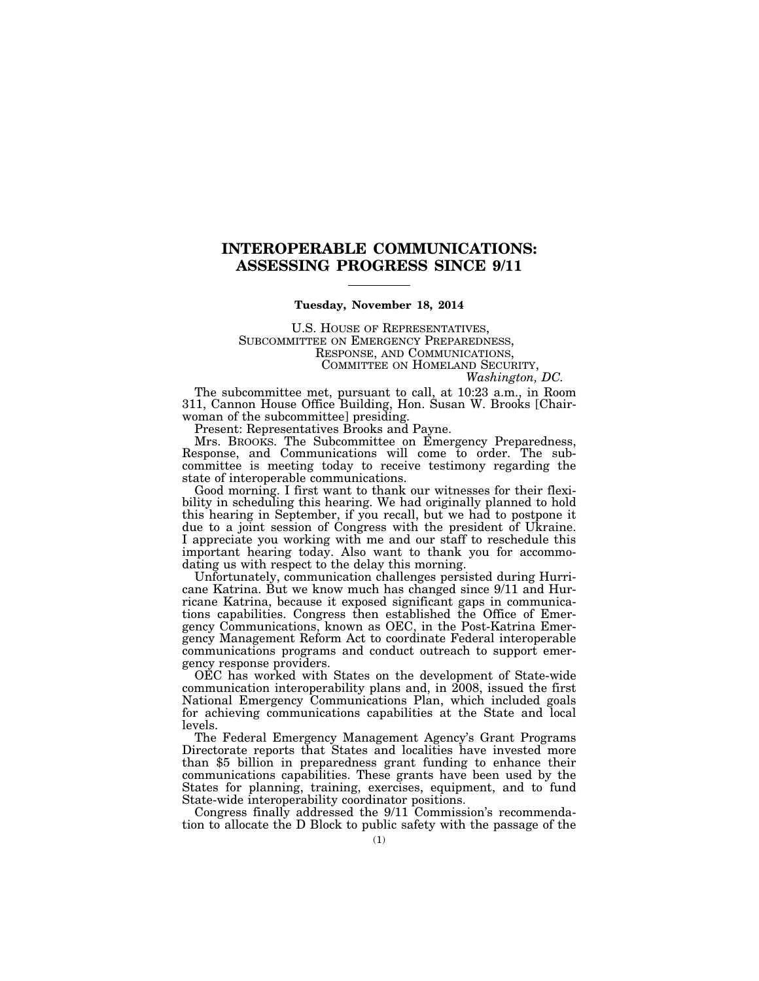# **INTEROPERABLE COMMUNICATIONS: ASSESSING PROGRESS SINCE 9/11**

# **Tuesday, November 18, 2014**

U.S. HOUSE OF REPRESENTATIVES,<br>SUBCOMMITTEE ON EMERGENCY PREPAREDNESS,<br>RESPONSE, AND COMMUNICATIONS,<br>COMMITTEE ON HOMELAND SECURITY,<br>*Washington, DC.* 

The subcommittee met, pursuant to call, at 10:23 a.m., in Room 311, Cannon House Office Building, Hon. Susan W. Brooks [Chairwoman of the subcommittee] presiding.

Present: Representatives Brooks and Payne.

Mrs. BROOKS. The Subcommittee on Emergency Preparedness, Response, and Communications will come to order. The subcommittee is meeting today to receive testimony regarding the state of interoperable communications.

Good morning. I first want to thank our witnesses for their flexibility in scheduling this hearing. We had originally planned to hold this hearing in September, if you recall, but we had to postpone it due to a joint session of Congress with the president of Ukraine. I appreciate you working with me and our staff to reschedule this important hearing today. Also want to thank you for accommodating us with respect to the delay this morning.

Unfortunately, communication challenges persisted during Hurricane Katrina. But we know much has changed since 9/11 and Hurricane Katrina, because it exposed significant gaps in communications capabilities. Congress then established the Office of Emergency Communications, known as OEC, in the Post-Katrina Emergency Management Reform Act to coordinate Federal interoperable communications programs and conduct outreach to support emergency response providers.

OEC has worked with States on the development of State-wide communication interoperability plans and, in 2008, issued the first National Emergency Communications Plan, which included goals for achieving communications capabilities at the State and local levels.

The Federal Emergency Management Agency's Grant Programs Directorate reports that States and localities have invested more than \$5 billion in preparedness grant funding to enhance their communications capabilities. These grants have been used by the States for planning, training, exercises, equipment, and to fund State-wide interoperability coordinator positions.

Congress finally addressed the 9/11 Commission's recommendation to allocate the D Block to public safety with the passage of the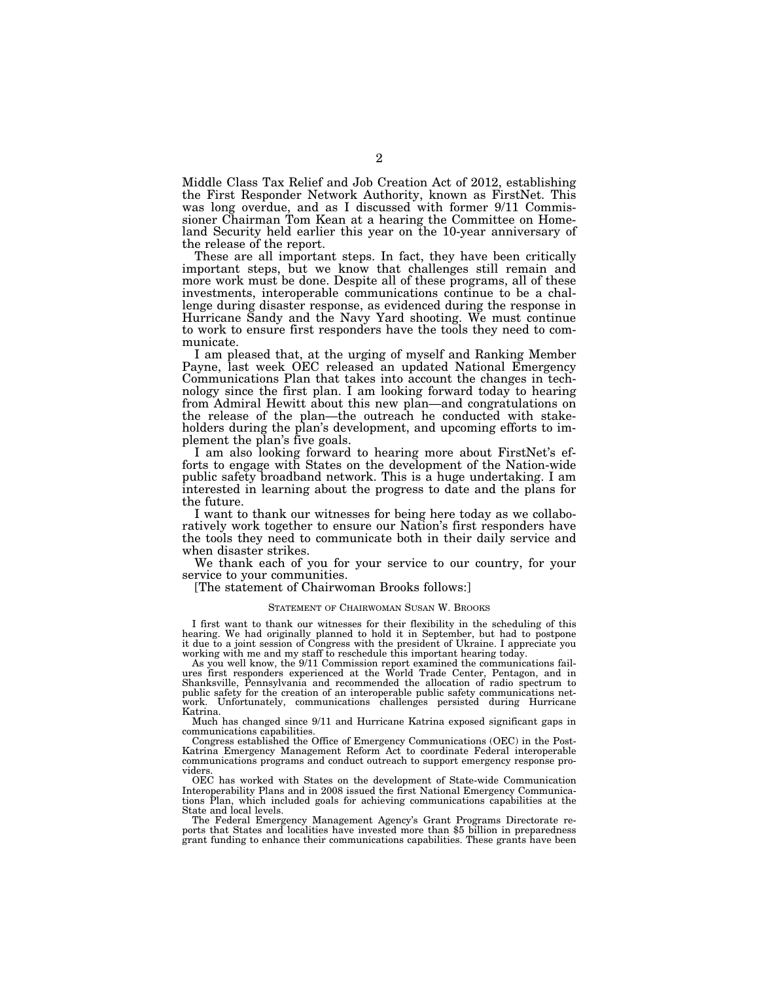Middle Class Tax Relief and Job Creation Act of 2012, establishing the First Responder Network Authority, known as FirstNet. This was long overdue, and as I discussed with former 9/11 Commissioner Chairman Tom Kean at a hearing the Committee on Homeland Security held earlier this year on the 10-year anniversary of the release of the report.

These are all important steps. In fact, they have been critically important steps, but we know that challenges still remain and more work must be done. Despite all of these programs, all of these investments, interoperable communications continue to be a challenge during disaster response, as evidenced during the response in Hurricane Sandy and the Navy Yard shooting. We must continue to work to ensure first responders have the tools they need to communicate.

I am pleased that, at the urging of myself and Ranking Member Payne, last week OEC released an updated National Emergency Communications Plan that takes into account the changes in technology since the first plan. I am looking forward today to hearing from Admiral Hewitt about this new plan—and congratulations on the release of the plan—the outreach he conducted with stakeholders during the plan's development, and upcoming efforts to implement the plan's five goals.

I am also looking forward to hearing more about FirstNet's efforts to engage with States on the development of the Nation-wide public safety broadband network. This is a huge undertaking. I am interested in learning about the progress to date and the plans for the future.

I want to thank our witnesses for being here today as we collaboratively work together to ensure our Nation's first responders have the tools they need to communicate both in their daily service and when disaster strikes.

We thank each of you for your service to our country, for your service to your communities.

### [The statement of Chairwoman Brooks follows:]

#### STATEMENT OF CHAIRWOMAN SUSAN W. BROOKS

I first want to thank our witnesses for their flexibility in the scheduling of this hearing. We had originally planned to hold it in September, but had to postpone it due to a joint session of Congress with the president of Ukraine. I appreciate you working with me and my staff to reschedule this important hearing today.

As you well know, the 9/11 Commission report examined the communications failures first responders experienced at the World Trade Center, Pentagon, and in Shanksville, Pennsylvania and recommended the allocation of radio spectrum to public safety for the creation of an interoperable public safety communications network. Unfortunately, communications challenges persisted during Hurricane Katrina.

Much has changed since 9/11 and Hurricane Katrina exposed significant gaps in communications capabilities.

Congress established the Office of Emergency Communications (OEC) in the Post-Katrina Emergency Management Reform Act to coordinate Federal interoperable communications programs and conduct outreach to support emergency response providers.

OEC has worked with States on the development of State-wide Communication Interoperability Plans and in 2008 issued the first National Emergency Communications Plan, which included goals for achieving communications capabilities at the State and local levels.

The Federal Emergency Management Agency's Grant Programs Directorate reports that States and localities have invested more than \$5 billion in preparedness grant funding to enhance their communications capabilities. These grants have been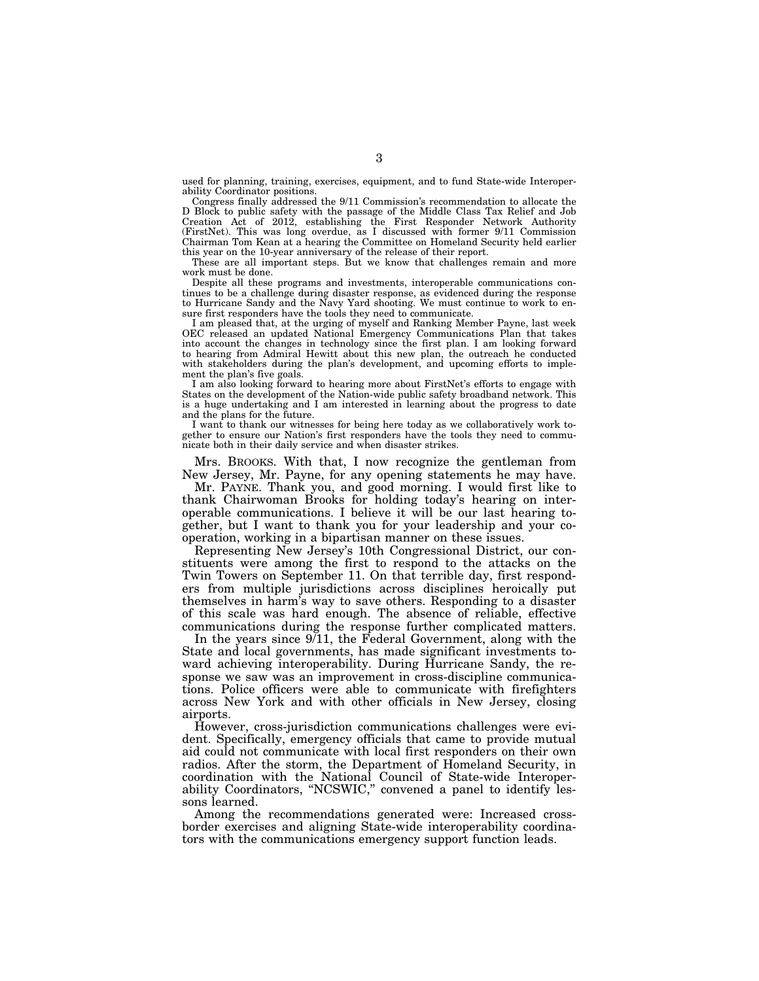used for planning, training, exercises, equipment, and to fund State-wide Interoperability Coordinator positions.

Congress finally addressed the 9/11 Commission's recommendation to allocate the D Block to public safety with the passage of the Middle Class Tax Relief and Job Creation Act of 2012, establishing the First Responder Network Authority (FirstNet). This was long overdue, as I discussed with former 9/11 Commission Chairman Tom Kean at a hearing the Committee on Homeland Security held earlier this year on the 10-year anniversary of the release of their report.

These are all important steps. But we know that challenges remain and more work must be done.

Despite all these programs and investments, interoperable communications continues to be a challenge during disaster response, as evidenced during the response to Hurricane Sandy and the Navy Yard shooting. We must continue to work to ensure first responders have the tools they need to communicate.

I am pleased that, at the urging of myself and Ranking Member Payne, last week OEC released an updated National Emergency Communications Plan that takes into account the changes in technology since the first plan. I am looking forward to hearing from Admiral Hewitt about this new plan, the outreach he conducted with stakeholders during the plan's development, and upcoming efforts to implement the plan's five goals.

I am also looking forward to hearing more about FirstNet's efforts to engage with States on the development of the Nation-wide public safety broadband network. This is a huge undertaking and I am interested in learning about the progress to date and the plans for the future.

I want to thank our witnesses for being here today as we collaboratively work together to ensure our Nation's first responders have the tools they need to communicate both in their daily service and when disaster strikes.

Mrs. BROOKS. With that, I now recognize the gentleman from New Jersey, Mr. Payne, for any opening statements he may have.

Mr. PAYNE. Thank you, and good morning. I would first like to thank Chairwoman Brooks for holding today's hearing on interoperable communications. I believe it will be our last hearing together, but I want to thank you for your leadership and your cooperation, working in a bipartisan manner on these issues.

Representing New Jersey's 10th Congressional District, our constituents were among the first to respond to the attacks on the Twin Towers on September 11. On that terrible day, first responders from multiple jurisdictions across disciplines heroically put themselves in harm's way to save others. Responding to a disaster of this scale was hard enough. The absence of reliable, effective communications during the response further complicated matters.

In the years since 9/11, the Federal Government, along with the State and local governments, has made significant investments toward achieving interoperability. During Hurricane Sandy, the response we saw was an improvement in cross-discipline communications. Police officers were able to communicate with firefighters across New York and with other officials in New Jersey, closing airports.

However, cross-jurisdiction communications challenges were evident. Specifically, emergency officials that came to provide mutual aid could not communicate with local first responders on their own radios. After the storm, the Department of Homeland Security, in coordination with the National Council of State-wide Interoperability Coordinators, ''NCSWIC,'' convened a panel to identify lessons learned.

Among the recommendations generated were: Increased crossborder exercises and aligning State-wide interoperability coordinators with the communications emergency support function leads.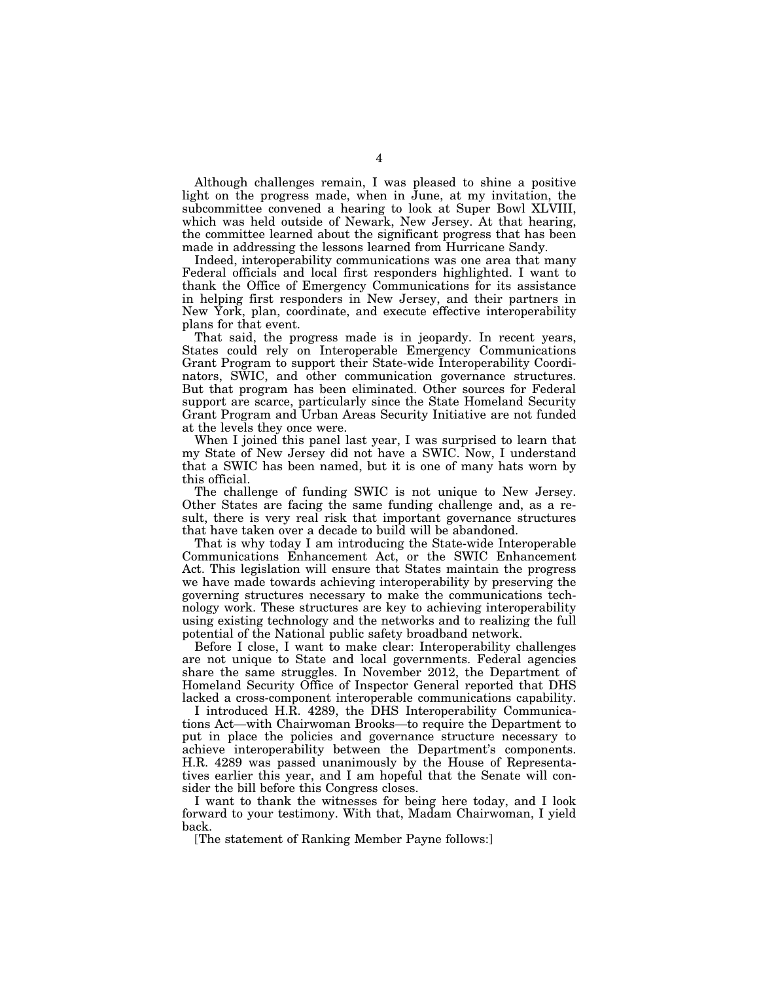Although challenges remain, I was pleased to shine a positive light on the progress made, when in June, at my invitation, the subcommittee convened a hearing to look at Super Bowl XLVIII, which was held outside of Newark, New Jersey. At that hearing, the committee learned about the significant progress that has been made in addressing the lessons learned from Hurricane Sandy.

Indeed, interoperability communications was one area that many Federal officials and local first responders highlighted. I want to thank the Office of Emergency Communications for its assistance in helping first responders in New Jersey, and their partners in New York, plan, coordinate, and execute effective interoperability plans for that event.

That said, the progress made is in jeopardy. In recent years, States could rely on Interoperable Emergency Communications Grant Program to support their State-wide Interoperability Coordinators, SWIC, and other communication governance structures. But that program has been eliminated. Other sources for Federal support are scarce, particularly since the State Homeland Security Grant Program and Urban Areas Security Initiative are not funded at the levels they once were.

When I joined this panel last year, I was surprised to learn that my State of New Jersey did not have a SWIC. Now, I understand that a SWIC has been named, but it is one of many hats worn by this official.

The challenge of funding SWIC is not unique to New Jersey. Other States are facing the same funding challenge and, as a result, there is very real risk that important governance structures that have taken over a decade to build will be abandoned.

That is why today I am introducing the State-wide Interoperable Communications Enhancement Act, or the SWIC Enhancement Act. This legislation will ensure that States maintain the progress we have made towards achieving interoperability by preserving the governing structures necessary to make the communications technology work. These structures are key to achieving interoperability using existing technology and the networks and to realizing the full potential of the National public safety broadband network.

Before I close, I want to make clear: Interoperability challenges are not unique to State and local governments. Federal agencies share the same struggles. In November 2012, the Department of Homeland Security Office of Inspector General reported that DHS lacked a cross-component interoperable communications capability.

I introduced H.R. 4289, the DHS Interoperability Communications Act—with Chairwoman Brooks—to require the Department to put in place the policies and governance structure necessary to achieve interoperability between the Department's components. H.R. 4289 was passed unanimously by the House of Representatives earlier this year, and I am hopeful that the Senate will consider the bill before this Congress closes.

I want to thank the witnesses for being here today, and I look forward to your testimony. With that, Madam Chairwoman, I yield back.

[The statement of Ranking Member Payne follows:]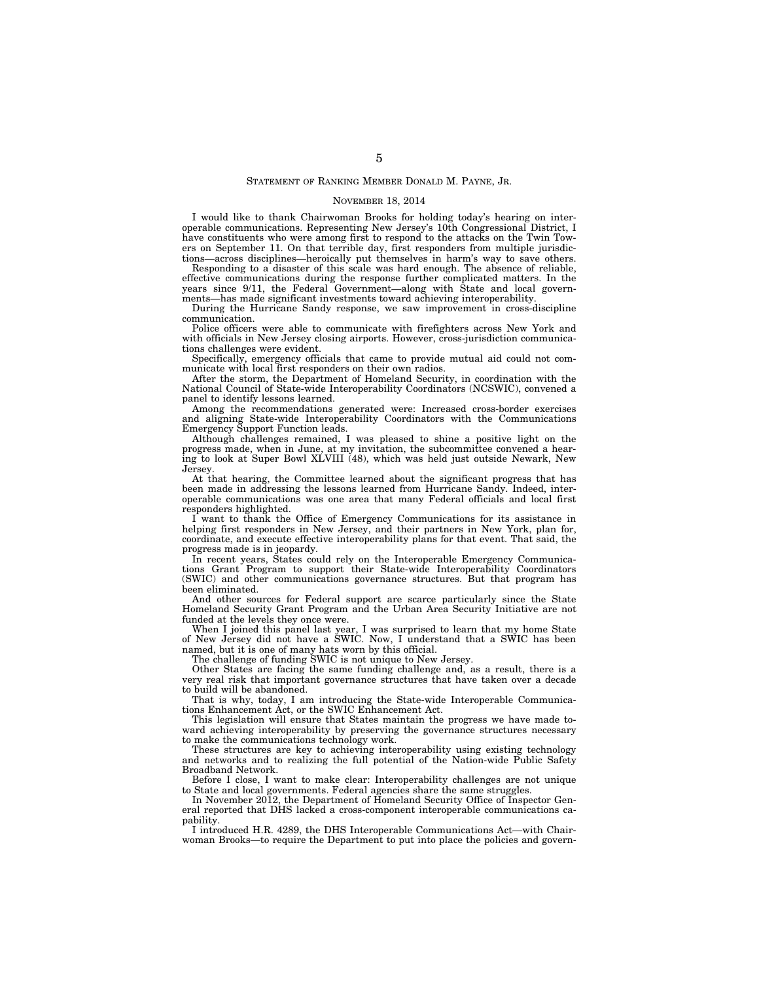# STATEMENT OF RANKING MEMBER DONALD M. PAYNE, JR.

#### NOVEMBER 18, 2014

I would like to thank Chairwoman Brooks for holding today's hearing on interoperable communications. Representing New Jersey's 10th Congressional District, I have constituents who were among first to respond to the attacks on the Twin Towers on September 11. On that terrible day, first responders from multiple jurisdictions—across disciplines—heroically put themselves in harm's way to save others.

Responding to a disaster of this scale was hard enough. The absence of reliable, effective communications during the response further complicated matters. In the years since 9/11, the Federal Government—along with State and local governments—has made significant investments toward achieving interoperability.

During the Hurricane Sandy response, we saw improvement in cross-discipline communication.

Police officers were able to communicate with firefighters across New York and with officials in New Jersey closing airports. However, cross-jurisdiction communications challenges were evident.

Specifically, emergency officials that came to provide mutual aid could not communicate with local first responders on their own radios.

After the storm, the Department of Homeland Security, in coordination with the National Council of State-wide Interoperability Coordinators (NCSWIC), convened a panel to identify lessons learned.

Among the recommendations generated were: Increased cross-border exercises and aligning State-wide Interoperability Coordinators with the Communications Emergency Support Function leads.

Although challenges remained, I was pleased to shine a positive light on the progress made, when in June, at my invitation, the subcommittee convened a hearing to look at Super Bowl XLVIII (48), which was held just outside Newark, New Jersey.

At that hearing, the Committee learned about the significant progress that has been made in addressing the lessons learned from Hurricane Sandy. Indeed, interoperable communications was one area that many Federal officials and local first responders highlighted.

I want to thank the Office of Emergency Communications for its assistance in helping first responders in New Jersey, and their partners in New York, plan for, coordinate, and execute effective interoperability plans for that event. That said, the progress made is in jeopardy.

In recent years, States could rely on the Interoperable Emergency Communications Grant Program to support their State-wide Interoperability Coordinators (SWIC) and other communications governance structures. But that program has been eliminated.

And other sources for Federal support are scarce particularly since the State Homeland Security Grant Program and the Urban Area Security Initiative are not funded at the levels they once were.

When I joined this panel last year, I was surprised to learn that my home State of New Jersey did not have a SWIC. Now, I understand that a SWIC has been named, but it is one of many hats worn by this official.

The challenge of funding SWIC is not unique to New Jersey.

Other States are facing the same funding challenge and, as a result, there is a very real risk that important governance structures that have taken over a decade to build will be abandoned.

That is why, today, I am introducing the State-wide Interoperable Communications Enhancement Act, or the SWIC Enhancement Act.

This legislation will ensure that States maintain the progress we have made toward achieving interoperability by preserving the governance structures necessary to make the communications technology work.

These structures are key to achieving interoperability using existing technology and networks and to realizing the full potential of the Nation-wide Public Safety Broadband Network.

Before I close, I want to make clear: Interoperability challenges are not unique to State and local governments. Federal agencies share the same struggles.

In November 2012, the Department of Homeland Security Office of Inspector General reported that DHS lacked a cross-component interoperable communications capability.

I introduced H.R. 4289, the DHS Interoperable Communications Act—with Chairwoman Brooks—to require the Department to put into place the policies and govern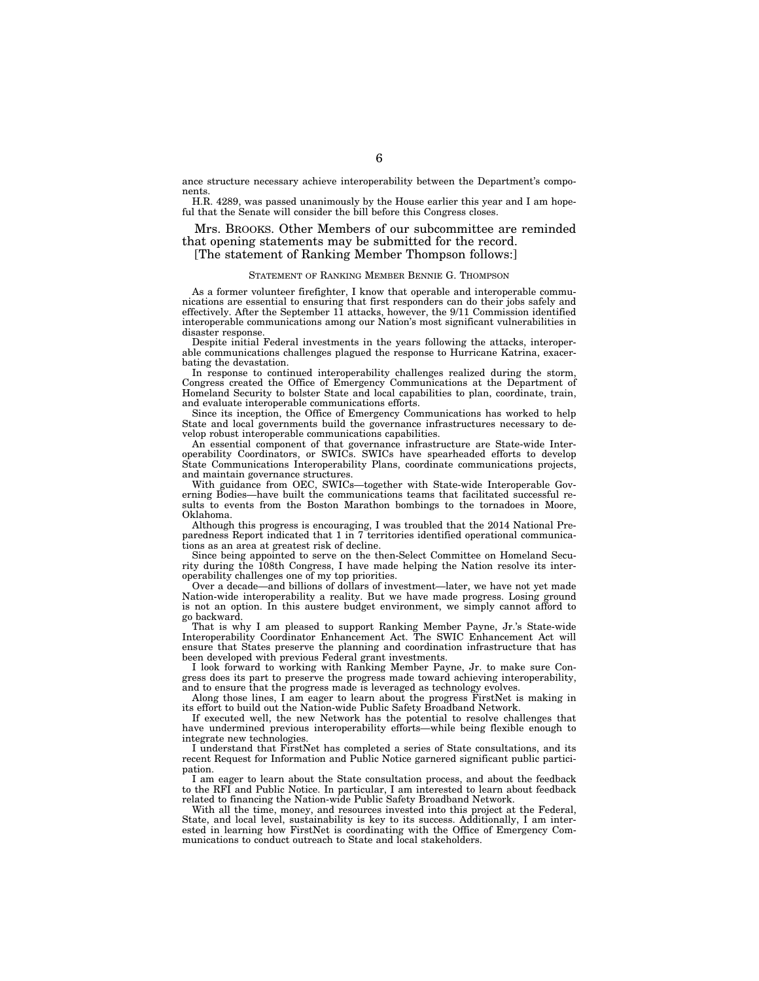ance structure necessary achieve interoperability between the Department's components.

H.R. 4289, was passed unanimously by the House earlier this year and I am hopeful that the Senate will consider the bill before this Congress closes.

Mrs. BROOKS. Other Members of our subcommittee are reminded that opening statements may be submitted for the record.

# [The statement of Ranking Member Thompson follows:]

### STATEMENT OF RANKING MEMBER BENNIE G. THOMPSON

As a former volunteer firefighter, I know that operable and interoperable communications are essential to ensuring that first responders can do their jobs safely and effectively. After the September 11 attacks, however, the 9/11 Commission identified interoperable communications among our Nation's most significant vulnerabilities in disaster response.

Despite initial Federal investments in the years following the attacks, interoperable communications challenges plagued the response to Hurricane Katrina, exacerbating the devastation.

In response to continued interoperability challenges realized during the storm, Congress created the Office of Emergency Communications at the Department of Homeland Security to bolster State and local capabilities to plan, coordinate, train, and evaluate interoperable communications efforts.

Since its inception, the Office of Emergency Communications has worked to help State and local governments build the governance infrastructures necessary to develop robust interoperable communications capabilities.

An essential component of that governance infrastructure are State-wide Interoperability Coordinators, or SWICs. SWICs have spearheaded efforts to develop State Communications Interoperability Plans, coordinate communications projects, and maintain governance structures.

With guidance from OEC, SWICs—together with State-wide Interoperable Governing Bodies—have built the communications teams that facilitated successful results to events from the Boston Marathon bombings to the tornadoes in Moore, Oklahoma.

Although this progress is encouraging, I was troubled that the 2014 National Preparedness Report indicated that 1 in 7 territories identified operational communications as an area at greatest risk of decline.

Since being appointed to serve on the then-Select Committee on Homeland Security during the 108th Congress, I have made helping the Nation resolve its interoperability challenges one of my top priorities.

Over a decade—and billions of dollars of investment—later, we have not yet made Nation-wide interoperability a reality. But we have made progress. Losing ground is not an option. In this austere budget environment, we simply cannot afford to go backward.

That is why I am pleased to support Ranking Member Payne, Jr.'s State-wide Interoperability Coordinator Enhancement Act. The SWIC Enhancement Act will ensure that States preserve the planning and coordination infrastructure that has been developed with previous Federal grant investments.

I look forward to working with Ranking Member Payne, Jr. to make sure Congress does its part to preserve the progress made toward achieving interoperability, and to ensure that the progress made is leveraged as technology evolves.

Along those lines, I am eager to learn about the progress FirstNet is making in its effort to build out the Nation-wide Public Safety Broadband Network.

If executed well, the new Network has the potential to resolve challenges that have undermined previous interoperability efforts—while being flexible enough to integrate new technologies.

I understand that FirstNet has completed a series of State consultations, and its recent Request for Information and Public Notice garnered significant public participation.

I am eager to learn about the State consultation process, and about the feedback to the RFI and Public Notice. In particular, I am interested to learn about feedback related to financing the Nation-wide Public Safety Broadband Network.

With all the time, money, and resources invested into this project at the Federal, State, and local level, sustainability is key to its success. Additionally, I am interested in learning how FirstNet is coordinating with the Office of Emergency Communications to conduct outreach to State and local stakeholders.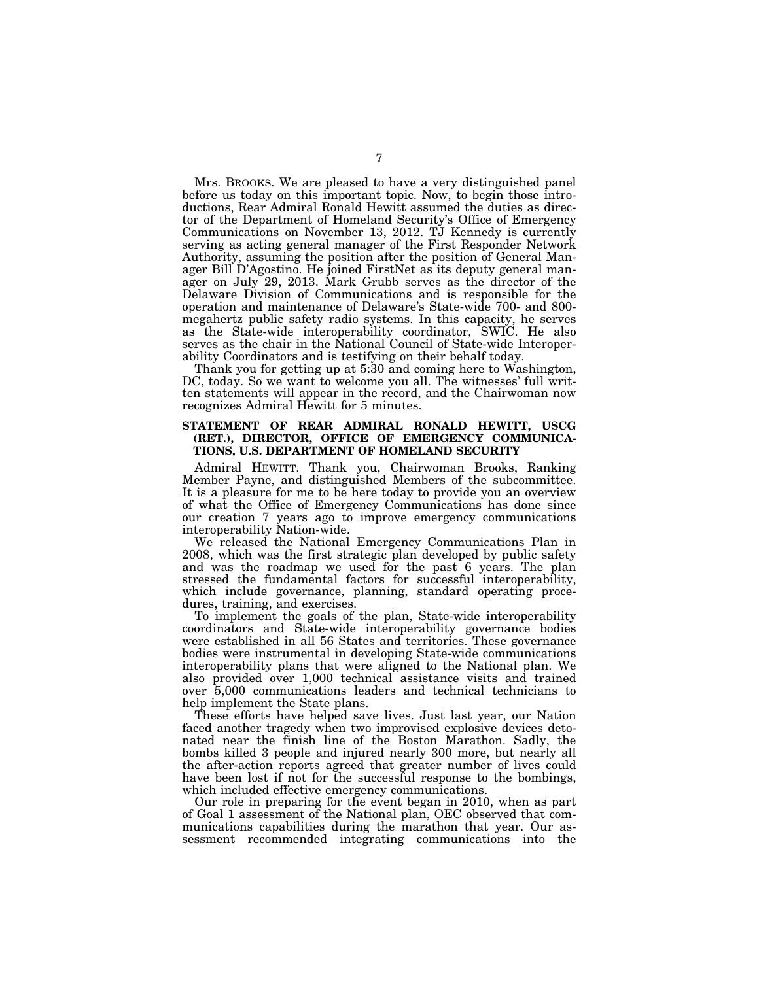Mrs. BROOKS. We are pleased to have a very distinguished panel before us today on this important topic. Now, to begin those introductions, Rear Admiral Ronald Hewitt assumed the duties as director of the Department of Homeland Security's Office of Emergency Communications on November 13, 2012. TJ Kennedy is currently serving as acting general manager of the First Responder Network Authority, assuming the position after the position of General Manager Bill D'Agostino. He joined FirstNet as its deputy general manager on July 29, 2013. Mark Grubb serves as the director of the Delaware Division of Communications and is responsible for the operation and maintenance of Delaware's State-wide 700- and 800 megahertz public safety radio systems. In this capacity, he serves as the State-wide interoperability coordinator, SWIC. He also serves as the chair in the National Council of State-wide Interoperability Coordinators and is testifying on their behalf today.

Thank you for getting up at 5:30 and coming here to Washington, DC, today. So we want to welcome you all. The witnesses' full written statements will appear in the record, and the Chairwoman now recognizes Admiral Hewitt for 5 minutes.

# **STATEMENT OF REAR ADMIRAL RONALD HEWITT, USCG (RET.), DIRECTOR, OFFICE OF EMERGENCY COMMUNICA-TIONS, U.S. DEPARTMENT OF HOMELAND SECURITY**

Admiral HEWITT. Thank you, Chairwoman Brooks, Ranking Member Payne, and distinguished Members of the subcommittee. It is a pleasure for me to be here today to provide you an overview of what the Office of Emergency Communications has done since our creation 7 years ago to improve emergency communications interoperability Nation-wide.

We released the National Emergency Communications Plan in 2008, which was the first strategic plan developed by public safety and was the roadmap we used for the past 6 years. The plan stressed the fundamental factors for successful interoperability, which include governance, planning, standard operating procedures, training, and exercises.

To implement the goals of the plan, State-wide interoperability coordinators and State-wide interoperability governance bodies were established in all 56 States and territories. These governance bodies were instrumental in developing State-wide communications interoperability plans that were aligned to the National plan. We also provided over 1,000 technical assistance visits and trained over 5,000 communications leaders and technical technicians to help implement the State plans.

These efforts have helped save lives. Just last year, our Nation faced another tragedy when two improvised explosive devices detonated near the finish line of the Boston Marathon. Sadly, the bombs killed 3 people and injured nearly 300 more, but nearly all the after-action reports agreed that greater number of lives could have been lost if not for the successful response to the bombings, which included effective emergency communications.

Our role in preparing for the event began in 2010, when as part of Goal 1 assessment of the National plan, OEC observed that communications capabilities during the marathon that year. Our assessment recommended integrating communications into the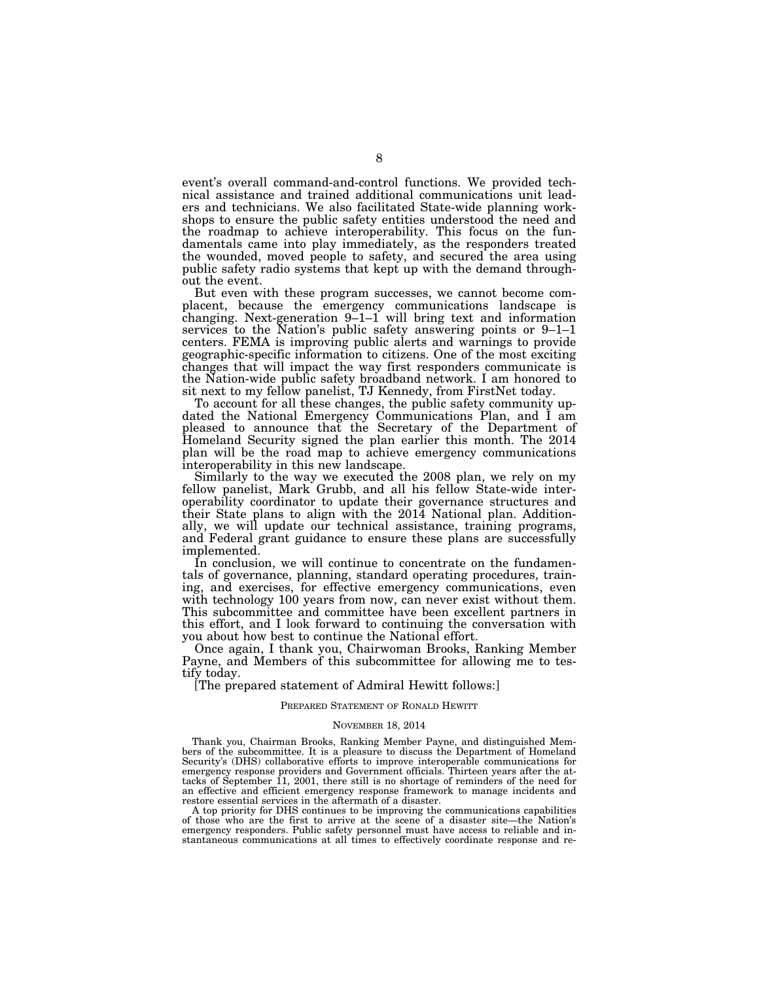event's overall command-and-control functions. We provided technical assistance and trained additional communications unit leaders and technicians. We also facilitated State-wide planning workshops to ensure the public safety entities understood the need and the roadmap to achieve interoperability. This focus on the fundamentals came into play immediately, as the responders treated the wounded, moved people to safety, and secured the area using public safety radio systems that kept up with the demand throughout the event.

But even with these program successes, we cannot become complacent, because the emergency communications landscape is changing. Next-generation 9–1–1 will bring text and information services to the Nation's public safety answering points or 9–1–1 centers. FEMA is improving public alerts and warnings to provide geographic-specific information to citizens. One of the most exciting changes that will impact the way first responders communicate is the Nation-wide public safety broadband network. I am honored to sit next to my fellow panelist, TJ Kennedy, from FirstNet today.

To account for all these changes, the public safety community updated the National Emergency Communications Plan, and I am pleased to announce that the Secretary of the Department of Homeland Security signed the plan earlier this month. The 2014 plan will be the road map to achieve emergency communications interoperability in this new landscape.

Similarly to the way we executed the 2008 plan, we rely on my fellow panelist, Mark Grubb, and all his fellow State-wide interoperability coordinator to update their governance structures and their State plans to align with the 2014 National plan. Additionally, we will update our technical assistance, training programs, and Federal grant guidance to ensure these plans are successfully implemented.

In conclusion, we will continue to concentrate on the fundamentals of governance, planning, standard operating procedures, training, and exercises, for effective emergency communications, even with technology 100 years from now, can never exist without them. This subcommittee and committee have been excellent partners in this effort, and I look forward to continuing the conversation with you about how best to continue the National effort.

Once again, I thank you, Chairwoman Brooks, Ranking Member Payne, and Members of this subcommittee for allowing me to testify today.

[The prepared statement of Admiral Hewitt follows:]

#### PREPARED STATEMENT OF RONALD HEWITT

#### NOVEMBER 18, 2014

Thank you, Chairman Brooks, Ranking Member Payne, and distinguished Members of the subcommittee. It is a pleasure to discuss the Department of Homeland Security's (DHS) collaborative efforts to improve interoperable communications for emergency response providers and Government officials. Thirteen years after the at-tacks of September 11, 2001, there still is no shortage of reminders of the need for an effective and efficient emergency response framework to manage incidents and restore essential services in the aftermath of a disaster.

A top priority for DHS continues to be improving the communications capabilities of those who are the first to arrive at the scene of a disaster site—the Nation's emergency responders. Public safety personnel must have access to reliable and instantaneous communications at all times to effectively coordinate response and re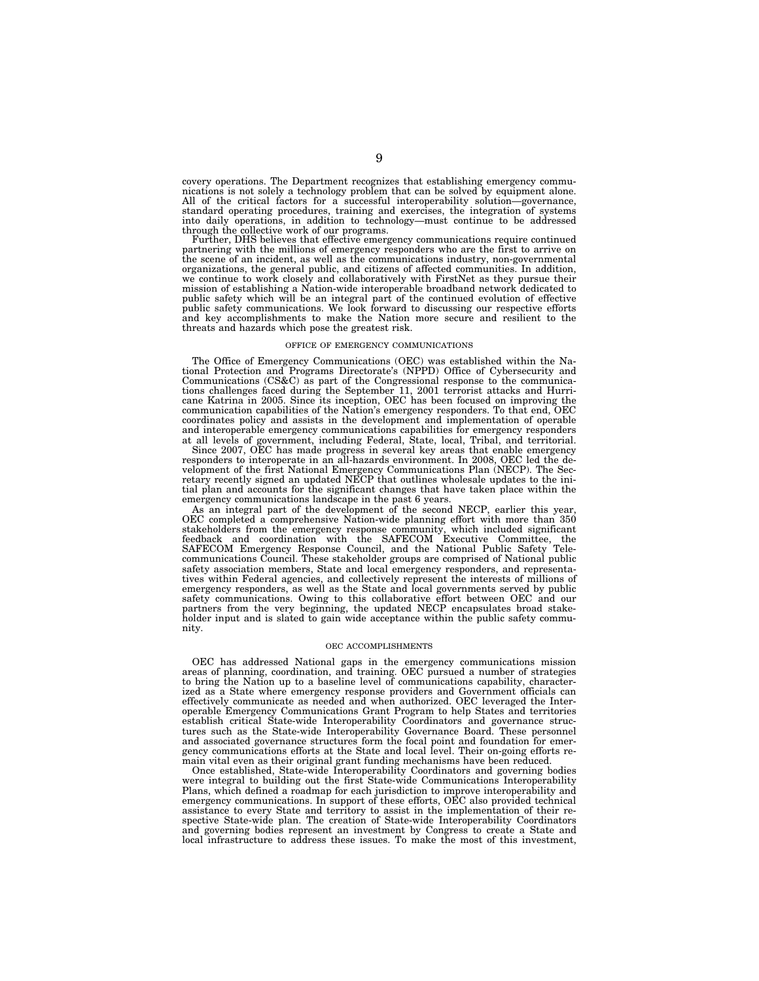covery operations. The Department recognizes that establishing emergency communications is not solely a technology problem that can be solved by equipment alone. All of the critical factors for a successful interoperability solution—governance, standard operating procedures, training and exercises, the integration of systems into daily operations, in addition to technology—must continue to be addressed through the collective work of our programs.

Further, DHS believes that effective emergency communications require continued partnering with the millions of emergency responders who are the first to arrive on the scene of an incident, as well as the communications industry, non-governmental organizations, the general public, and citizens of affected communities. In addition, we continue to work closely and collaboratively with FirstNet as they pursue their mission of establishing a Nation-wide interoperable broadband network dedicated to public safety which will be an integral part of the continued evolution of effective public safety communications. We look forward to discussing our respective efforts and key accomplishments to make the Nation more secure and resilient to the threats and hazards which pose the greatest risk.

#### OFFICE OF EMERGENCY COMMUNICATIONS

The Office of Emergency Communications (OEC) was established within the National Protection and Programs Directorate's (NPPD) Office of Cybersecurity and Communications (CS&C) as part of the Congressional response to the communications challenges faced during the September 11, 2001 terrorist attacks and Hurricane Katrina in 2005. Since its inception, OEC has been focused on improving the communication capabilities of the Nation's emergency responders. To that end, OEC coordinates policy and assists in the development and implementation of operable and interoperable emergency communications capabilities for emergency responders at all levels of government, including Federal, State, local, Tribal, and territorial.

Since 2007, OEC has made progress in several key areas that enable emergency responders to interoperate in an all-hazards environment. In 2008, OEC led the development of the first National Emergency Communications Plan (NECP). The Secretary recently signed an updated NECP that outlines wholesale updates to the initial plan and accounts for the significant changes that have taken place within the emergency communications landscape in the past 6 years.

As an integral part of the development of the second NECP, earlier this year, OEC completed a comprehensive Nation-wide planning effort with more than 350 stakeholders from the emergency response community, which included significant feedback and coordination with the SAFECOM Executive Committee, the SAFECOM Emergency Response Council, and the National Public Safety Telecommunications Council. These stakeholder groups are comprised of National public safety association members, State and local emergency responders, and representatives within Federal agencies, and collectively represent the interests of millions of emergency responders, as well as the State and local governments served by public safety communications. Owing to this collaborative effort between OEC and our partners from the very beginning, the updated NECP encapsulates broad stakeholder input and is slated to gain wide acceptance within the public safety community.

#### OEC ACCOMPLISHMENTS

OEC has addressed National gaps in the emergency communications mission areas of planning, coordination, and training. OEC pursued a number of strategies to bring the Nation up to a baseline level of communications capability, characterized as a State where emergency response providers and Government officials can effectively communicate as needed and when authorized. OEC leveraged the Interoperable Emergency Communications Grant Program to help States and territories establish critical State-wide Interoperability Coordinators and governance structures such as the State-wide Interoperability Governance Board. These personnel and associated governance structures form the focal point and foundation for emergency communications efforts at the State and local level. Their on-going efforts remain vital even as their original grant funding mechanisms have been reduced.

Once established, State-wide Interoperability Coordinators and governing bodies were integral to building out the first State-wide Communications Interoperability Plans, which defined a roadmap for each jurisdiction to improve interoperability and emergency communications. In support of these efforts, OEC also provided technical assistance to every State and territory to assist in the implementation of their respective State-wide plan. The creation of State-wide Interoperability Coordinators and governing bodies represent an investment by Congress to create a State and local infrastructure to address these issues. To make the most of this investment,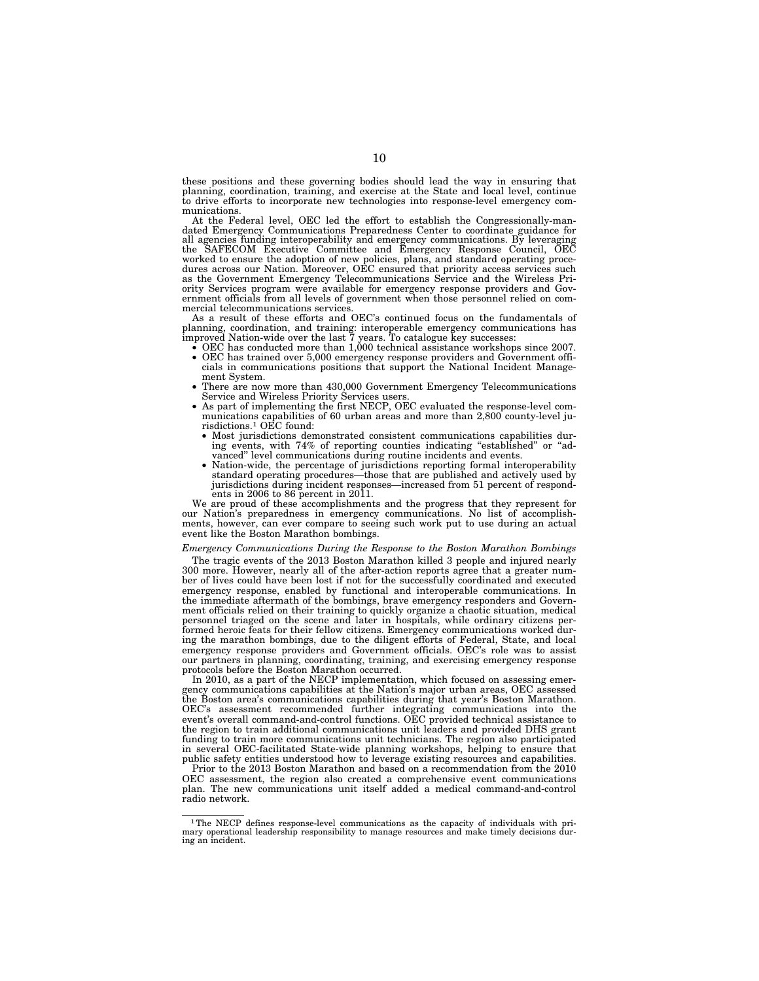these positions and these governing bodies should lead the way in ensuring that planning, coordination, training, and exercise at the State and local level, continue to drive efforts to incorporate new technologies into response-level emergency communications.

At the Federal level, OEC led the effort to establish the Congressionally-mandated Emergency Communications Preparedness Center to coordinate guidance for all agencies funding interoperability and emergency communications. By leveraging<br>the SAFECOM Executive Committee and Emergency Response Council, OEC<br>worked to ensure the adoption of new policies, plans, and standard opera ority Services program were available for emergency response providers and Gov-ernment officials from all levels of government when those personnel relied on commercial telecommunications services.

As a result of these efforts and OEC's continued focus on the fundamentals of planning, coordination, and training: interoperable emergency communications has improved Nation-wide over the last 7 years. To catalogue key successes:

- 
- OEC has conducted more than  $1,000$  technical assistance workshops since 2007.<br>• OEC has trained over  $5,000$  emergency response providers and Government officials in communications positions that support the National Incident Manage-
- There are now more than 430,000 Government Emergency Telecommunications<br>Service and Wireless Priority Services users.
- Service and Wireless Priority Services users. As part of implementing the first NECP, OEC evaluated the response-level com-munications capabilities of 60 urban areas and more than 2,800 county-level ju
	- risdictions.1 OEC found: Most jurisdictions demonstrated consistent communications capabilities dur-ing events, with 74% of reporting counties indicating ''established'' or ''ad-
	- vanced'' level communications during routine incidents and events. Nation-wide, the percentage of jurisdictions reporting formal interoperability standard operating procedures—those that are published and actively used by jurisdictions during incident responses—increased from 51 percent of respondents in 2006 to 86 percent in 2011.

We are proud of these accomplishments and the progress that they represent for our Nation's preparedness in emergency communications. No list of accomplishments, however, can ever compare to seeing such work put to use during an actual event like the Boston Marathon bombings.

#### *Emergency Communications During the Response to the Boston Marathon Bombings*

The tragic events of the 2013 Boston Marathon killed 3 people and injured nearly 300 more. However, nearly all of the after-action reports agree that a greater number of lives could have been lost if not for the successfully coordinated and executed emergency response, enabled by functional and interoperable communications. In the immediate aftermath of the bombings, brave emergency responders and Government officials relied on their training to quickly organize a chaotic situation, medical personnel triaged on the scene and later in hospitals, while ordinary citizens performed heroic feats for their fellow citizens. Emergency communications worked during the marathon bombings, due to the diligent efforts of Federal, State, and local emergency response providers and Government officials. OEC's role was to assist our partners in planning, coordinating, training, and exercising emergency response protocols before the Boston Marathon occurred.

In 2010, as a part of the NECP implementation, which focused on assessing emergency communications capabilities at the Nation's major urban areas, OEC assessed the Boston area's communications capabilities during that year's Boston Marathon. OEC's assessment recommended further integrating communications into the event's overall command-and-control functions. OEC provided technical assistance to the region to train additional communications unit leaders and provided DHS grant funding to train more communications unit technicians. The region also participated in several OEC-facilitated State-wide planning workshops, helping to ensure that public safety entities understood how to leverage existing resources and capabilities.

Prior to the 2013 Boston Marathon and based on a recommendation from the 2010 OEC assessment, the region also created a comprehensive event communications plan. The new communications unit itself added a medical command-and-control radio network.

<sup>&</sup>lt;sup>1</sup>The NECP defines response-level communications as the capacity of individuals with primary operational leadership responsibility to manage resources and make timely decisions dur-ing an incident.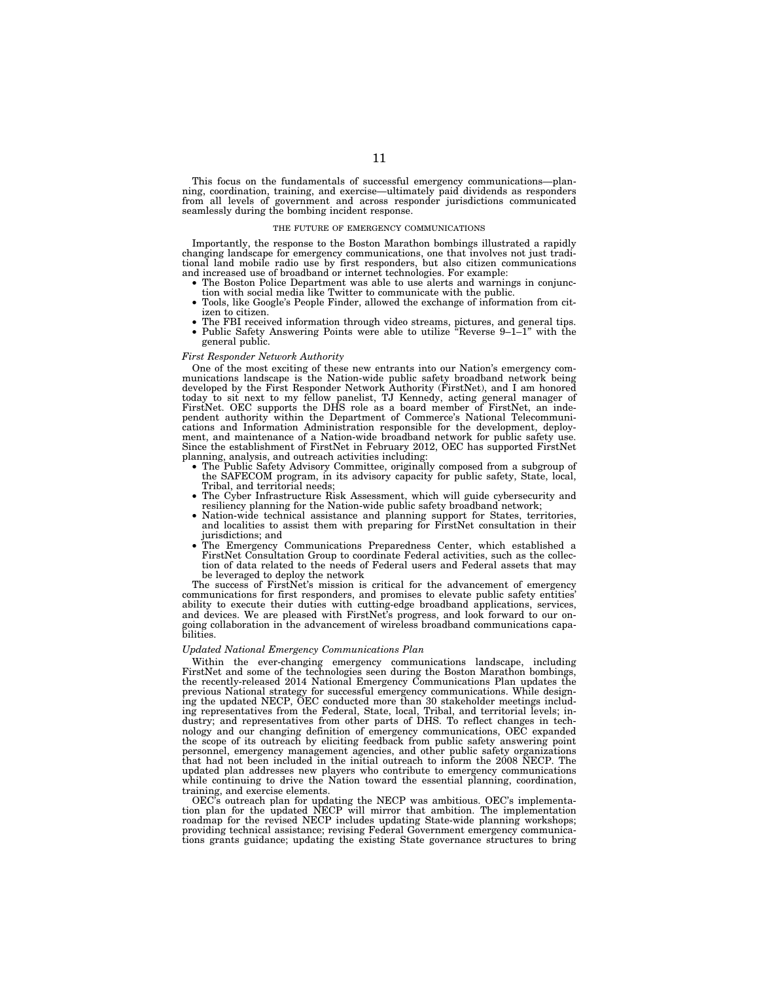This focus on the fundamentals of successful emergency communications—planning, coordination, training, and exercise—ultimately paid dividends as responders from all levels of government and across responder jurisdictions communicated seamlessly during the bombing incident response.

#### THE FUTURE OF EMERGENCY COMMUNICATIONS

Importantly, the response to the Boston Marathon bombings illustrated a rapidly changing landscape for emergency communications, one that involves not just tradi-tional land mobile radio use by first responders, but also citizen communications

- and increased use of broadband or internet technologies. For example:<br>• The Boston Police Department was able to use alerts and warnings in conjunction with social media like Twitter to communicate with the public.
	- Tools, like Google's People Finder, allowed the exchange of information from cit-<br>izen to citizen.
	- The FBI received information through video streams, pictures, and general tips.<br>• Public Safety Answering Points were able to utilize "Reverse 9–1–1" with the general public.

#### *First Responder Network Authority*

One of the most exciting of these new entrants into our Nation's emergency communications landscape is the Nation-wide public safety broadband network being developed by the First Responder Network Authority (FirstNet), and I am honored today to sit next to my fellow panelist, TJ Kennedy, acting general manager of FirstNet. OEC supports the DHS role as a board member of FirstNet, an independent authority within the Department of Commerce's National Telecommunications and Information Administration responsible for the development, deploy-ment, and maintenance of a Nation-wide broadband network for public safety use. Since the establishment of FirstNet in February 2012, OEC has supported FirstNet

- The Public Safety Advisory Committee, originally composed from a subgroup of the SAFECOM program, in its advisory capacity for public safety, State, local,
- The Cyber Infrastructure Risk Assessment, which will guide cybersecurity and resiliency planning for the Nation-wide public safety broadband network;
- Nation-wide technical assistance and planning support for States, territories, and localities to assist them with preparing for FirstNet consultation in their jurisdictions; and
- The Emergency Communications Preparedness Center, which established a FirstNet Consultation Group to coordinate Federal activities, such as the collection of data related to the needs of Federal users and Federal assets that may be leveraged to deploy the network

The success of FirstNet's mission is critical for the advancement of emergency communications for first responders, and promises to elevate public safety entities' ability to execute their duties with cutting-edge broadband applications, services, and devices. We are pleased with FirstNet's progress, and look forward to our ongoing collaboration in the advancement of wireless broadband communications capabilities.

#### *Updated National Emergency Communications Plan*

Within the ever-changing emergency communications landscape, including FirstNet and some of the technologies seen during the Boston Marathon bombings, the recently-released 2014 National Emergency Communications Plan updates the previous National strategy for successful emergency communications. While designing the updated NECP, OEC conducted more than 30 stakeholder meetings including representatives from the Federal, State, local, Tribal, and territorial levels; industry; and representatives from other parts of DHS. To reflect changes in technology and our changing definition of emergency communications, OEC expanded the scope of its outreach by eliciting feedback from public safety answering point personnel, emergency management agencies, and other public safety organizations that had not been included in the initial outreach to inform the 2008 NECP. The updated plan addresses new players who contribute to emergency communications while continuing to drive the Nation toward the essential planning, coordination, training, and exercise elements.

OEC's outreach plan for updating the NECP was ambitious. OEC's implementation plan for the updated NECP will mirror that ambition. The implementation roadmap for the revised NECP includes updating State-wide planning workshops; providing technical assistance; revising Federal Government emergency communications grants guidance; updating the existing State governance structures to bring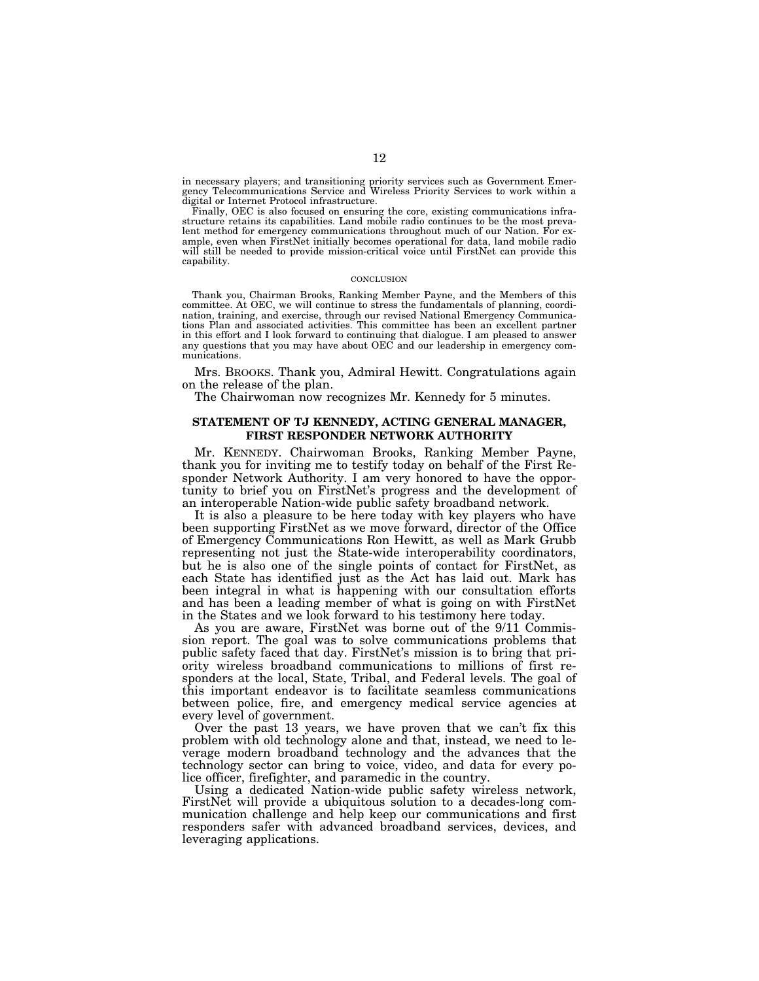in necessary players; and transitioning priority services such as Government Emergency Telecommunications Service and Wireless Priority Services to work within a digital or Internet Protocol infrastructure.

Finally, OEC is also focused on ensuring the core, existing communications infrastructure retains its capabilities. Land mobile radio continues to be the most prevalent method for emergency communications throughout much of our Nation. For example, even when FirstNet initially becomes operational for data, land mobile radio will still be needed to provide mission-critical voice until FirstNet can provide this capability.

#### **CONCLUSION**

Thank you, Chairman Brooks, Ranking Member Payne, and the Members of this committee. At OEC, we will continue to stress the fundamentals of planning, coordination, training, and exercise, through our revised National Emergency Communications Plan and associated activities. This committee has been an excellent partner in this effort and I look forward to continuing that dialogue. I am pleased to answer any questions that you may have about OEC and our leadership in emergency communications.

Mrs. BROOKS. Thank you, Admiral Hewitt. Congratulations again on the release of the plan.

The Chairwoman now recognizes Mr. Kennedy for 5 minutes.

# **STATEMENT OF TJ KENNEDY, ACTING GENERAL MANAGER, FIRST RESPONDER NETWORK AUTHORITY**

Mr. KENNEDY. Chairwoman Brooks, Ranking Member Payne, thank you for inviting me to testify today on behalf of the First Responder Network Authority. I am very honored to have the opportunity to brief you on FirstNet's progress and the development of an interoperable Nation-wide public safety broadband network.

It is also a pleasure to be here today with key players who have been supporting FirstNet as we move forward, director of the Office of Emergency Communications Ron Hewitt, as well as Mark Grubb representing not just the State-wide interoperability coordinators, but he is also one of the single points of contact for FirstNet, as each State has identified just as the Act has laid out. Mark has been integral in what is happening with our consultation efforts and has been a leading member of what is going on with FirstNet in the States and we look forward to his testimony here today.

As you are aware, FirstNet was borne out of the 9/11 Commission report. The goal was to solve communications problems that public safety faced that day. FirstNet's mission is to bring that priority wireless broadband communications to millions of first responders at the local, State, Tribal, and Federal levels. The goal of this important endeavor is to facilitate seamless communications between police, fire, and emergency medical service agencies at every level of government.

Over the past 13 years, we have proven that we can't fix this problem with old technology alone and that, instead, we need to leverage modern broadband technology and the advances that the technology sector can bring to voice, video, and data for every police officer, firefighter, and paramedic in the country.

Using a dedicated Nation-wide public safety wireless network, FirstNet will provide a ubiquitous solution to a decades-long communication challenge and help keep our communications and first responders safer with advanced broadband services, devices, and leveraging applications.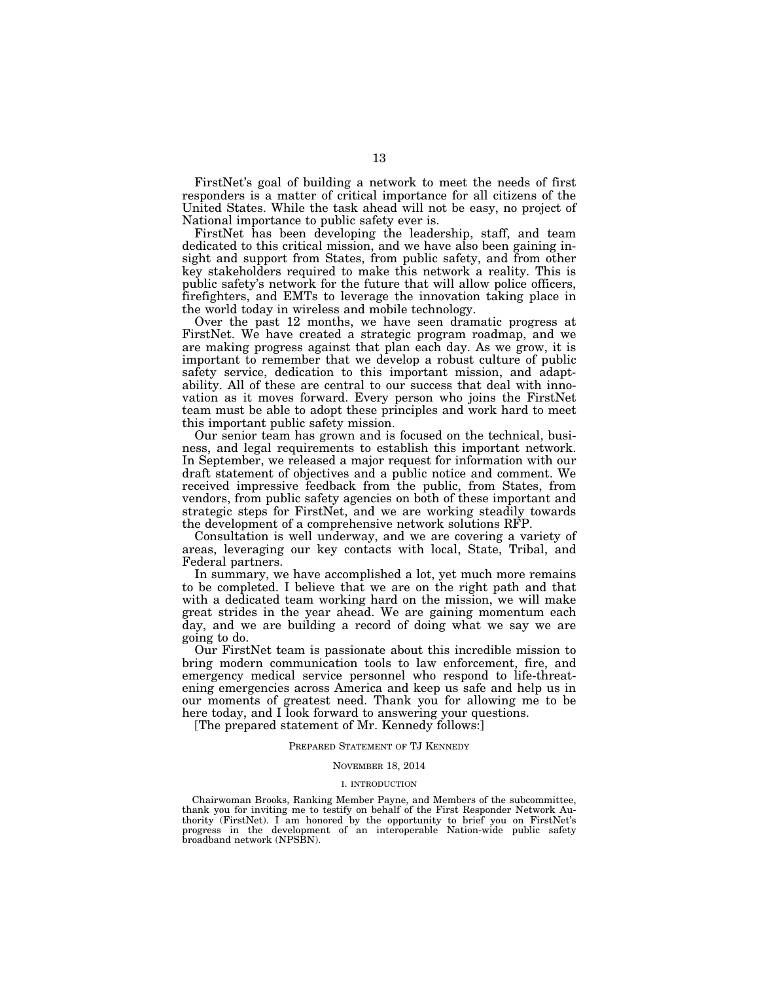FirstNet's goal of building a network to meet the needs of first responders is a matter of critical importance for all citizens of the United States. While the task ahead will not be easy, no project of National importance to public safety ever is.

FirstNet has been developing the leadership, staff, and team dedicated to this critical mission, and we have also been gaining insight and support from States, from public safety, and from other key stakeholders required to make this network a reality. This is public safety's network for the future that will allow police officers, firefighters, and EMTs to leverage the innovation taking place in the world today in wireless and mobile technology.

Over the past 12 months, we have seen dramatic progress at FirstNet. We have created a strategic program roadmap, and we are making progress against that plan each day. As we grow, it is important to remember that we develop a robust culture of public safety service, dedication to this important mission, and adaptability. All of these are central to our success that deal with innovation as it moves forward. Every person who joins the FirstNet team must be able to adopt these principles and work hard to meet this important public safety mission.

Our senior team has grown and is focused on the technical, business, and legal requirements to establish this important network. In September, we released a major request for information with our draft statement of objectives and a public notice and comment. We received impressive feedback from the public, from States, from vendors, from public safety agencies on both of these important and strategic steps for FirstNet, and we are working steadily towards the development of a comprehensive network solutions RFP.

Consultation is well underway, and we are covering a variety of areas, leveraging our key contacts with local, State, Tribal, and Federal partners.

In summary, we have accomplished a lot, yet much more remains to be completed. I believe that we are on the right path and that with a dedicated team working hard on the mission, we will make great strides in the year ahead. We are gaining momentum each day, and we are building a record of doing what we say we are going to do.

Our FirstNet team is passionate about this incredible mission to bring modern communication tools to law enforcement, fire, and emergency medical service personnel who respond to life-threatening emergencies across America and keep us safe and help us in our moments of greatest need. Thank you for allowing me to be here today, and I look forward to answering your questions.

[The prepared statement of Mr. Kennedy follows:]

### PREPARED STATEMENT OF TJ KENNEDY

### NOVEMBER 18, 2014

#### I. INTRODUCTION

Chairwoman Brooks, Ranking Member Payne, and Members of the subcommittee, thank you for inviting me to testify on behalf of the First Responder Network Authority (FirstNet). I am honored by the opportunity to brief you on FirstNet's progress in the development of an interoperable Nation-wide public safety broadband network (NPSBN).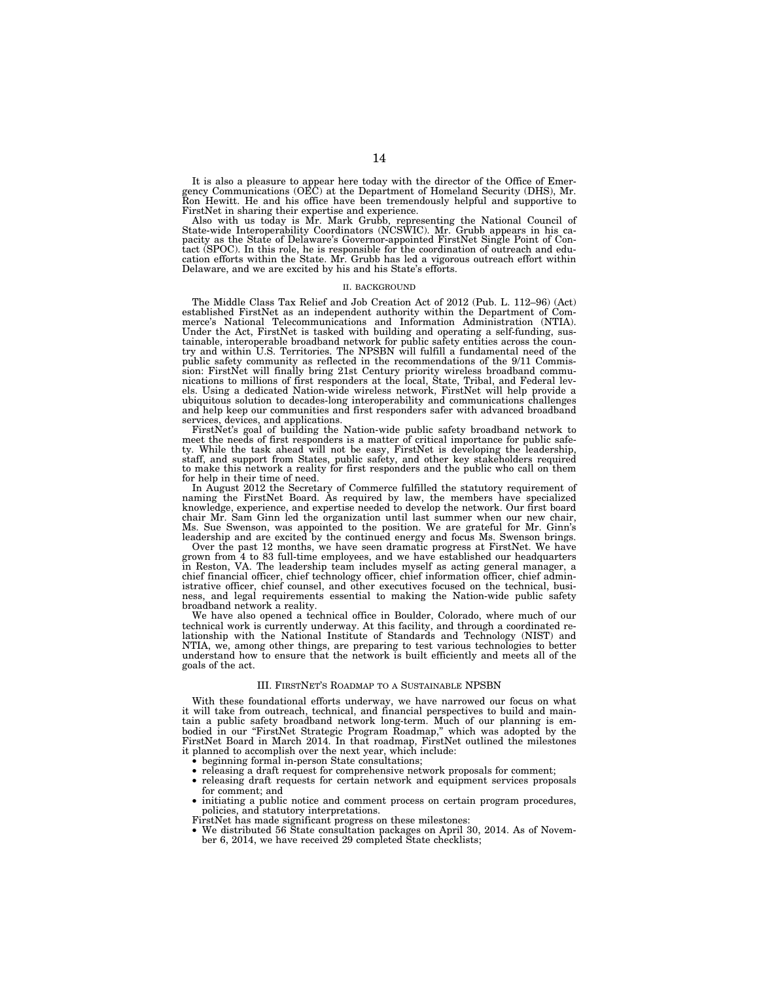It is also a pleasure to appear here today with the director of the Office of Emer-gency Communications (OEC) at the Department of Homeland Security (DHS), Mr. Ron Hewitt. He and his office have been tremendously helpful and supportive to FirstNet in sharing their expertise and experience.

Also with us today is Mr. Mark Grubb, representing the National Council of State-wide Interoperability Coordinators (NCSWIC). Mr. Grubb appears in his capacity as the State of Delaware's Governor-appointed FirstNet Single tact (SPOC). In this role, he is responsible for the coordination of outreach and education efforts within the State. Mr. Grubb has led a vigorous outreach effort within Delaware, and we are excited by his and his State's efforts.

#### II. BACKGROUND

The Middle Class Tax Relief and Job Creation Act of 2012 (Pub. L. 112–96) (Act) established FirstNet as an independent authority within the Department of Commerce's National Telecommunications and Information Administration (NTIA). Under the Act, FirstNet is tasked with building and operating a self-funding, sustainable, interoperable broadband network for public safety entities across the coun-try and within U.S. Territories. The NPSBN will fulfill a fundamental need of the public safety community as reflected in the recommendations of the 9/11 Commission: FirstNet will finally bring 21st Century priority wireless broadband communications to millions of first responders at the local, State, T els. Using a dedicated Nation-wide wireless network, FirstNet will help provide a ubiquitous solution to decades-long interoperability and communications challenges and help keep our communities and first responders safer with advanced broadband

services, devices, and applications. FirstNet's goal of building the Nation-wide public safety broadband network to meet the needs of first responders is a matter of critical importance for public safe-ty. While the task ahead will not be easy, FirstNet is developing the leadership, staff, and support from States, public safety, and other key stakeholders required to make this network a reality for first responders and the public who call on them for help in their time of need.

In August 2012 the Secretary of Commerce fulfilled the statutory requirement of naming the FirstNet Board. As required by law, the members have specialized knowledge, experience, and expertise needed to develop the network. Our first board chair Mr. Sam Ginn led the organization until last summer when our new chair, Ms. Sue Swenson, was appointed to the position. We are grateful for Mr. Ginn's leadership and are excited by the continued energy and focus Ms. Swenson brings.

Over the past 12 months, we have seen dramatic progress at FirstNet. We have grown from 4 to 83 full-time employees, and we have established our headquarters in Reston, VA. The leadership team includes myself as acting general manager, a chief financial officer, chief technology officer, chief information officer, chief admin-istrative officer, chief counsel, and other executives focused on the technical, business, and legal requirements essential to making the Nation-wide public safety broadband network a reality.

We have also opened a technical office in Boulder, Colorado, where much of our technical work is currently underway. At this facility, and through a coordinated relationship with the National Institute of Standards and Technology (NIST) and NTIA, we, among other things, are preparing to test various technologies to better understand how to ensure that the network is built efficiently and meets all of the goals of the act.

#### III. FIRSTNET'S ROADMAP TO A SUSTAINABLE NPSBN

With these foundational efforts underway, we have narrowed our focus on what it will take from outreach, technical, and financial perspectives to build and maintain a public safety broadband network long-term. Much of our planning is embodied in our ''FirstNet Strategic Program Roadmap,'' which was adopted by the FirstNet Board in March 2014. In that roadmap, FirstNet outlined the milestones it planned to accomplish over the next year, which include:

- beginning formal in-person State consultations;
- releasing a draft request for comprehensive network proposals for comment;
- releasing draft requests for certain network and equipment services proposals for comment; and
- initiating a public notice and comment process on certain program procedures, policies, and statutory interpretations.
- 
- FirstNet has made significant progress on these milestones: We distributed 56 State consultation packages on April 30, 2014. As of November 6, 2014, we have received 29 completed State checklists;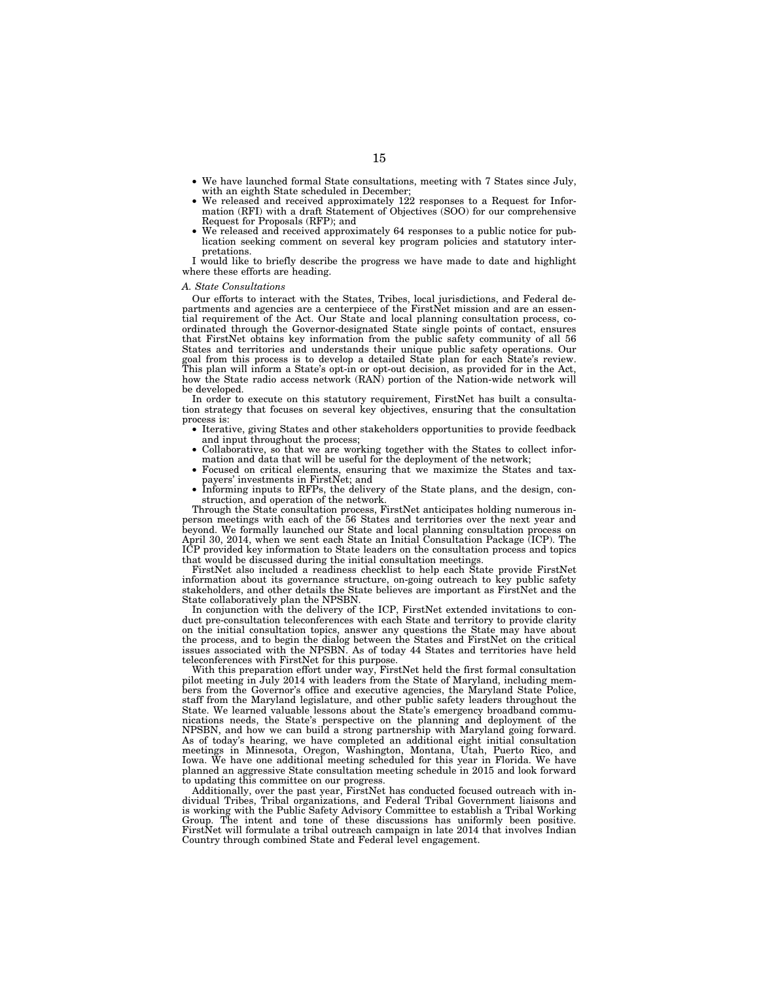- We have launched formal State consultations, meeting with 7 States since July, with an eighth State scheduled in December;
- We released and received approximately 122 responses to a Request for Information (RFI) with a draft Statement of Objectives (SOO) for our comprehensive Request for Proposals (RFP); and
- We released and received approximately 64 responses to a public notice for publication seeking comment on several key program policies and statutory interpretations.

I would like to briefly describe the progress we have made to date and highlight where these efforts are heading.

#### *A. State Consultations*

Our efforts to interact with the States, Tribes, local jurisdictions, and Federal departments and agencies are a centerpiece of the FirstNet mission and are an essential requirement of the Act. Our State and local planning consultation process, coordinated through the Governor-designated State single points of contact, ensures that FirstNet obtains key information from the public safety community of all 56 States and territories and understands their unique public safety operations. Our goal from this process is to develop a detailed State plan for each State's review. This plan will inform a State's opt-in or opt-out decision, as provided for in the Act, how the State radio access network (RAN) portion of the Nation-wide network will be developed.

In order to execute on this statutory requirement, FirstNet has built a consultation strategy that focuses on several key objectives, ensuring that the consultation process is:

- Iterative, giving States and other stakeholders opportunities to provide feedback and input throughout the process;
- Collaborative, so that we are working together with the States to collect information and data that will be useful for the deployment of the network;
- Focused on critical elements, ensuring that we maximize the States and taxpayers' investments in FirstNet; and
- Informing inputs to RFPs, the delivery of the State plans, and the design, construction, and operation of the network.

Through the State consultation process, FirstNet anticipates holding numerous inperson meetings with each of the 56 States and territories over the next year and beyond. We formally launched our State and local planning consultation process on April 30, 2014, when we sent each State an Initial Consultation Package (ICP). The ICP provided key information to State leaders on the consultation process and topics that would be discussed during the initial consultation meetings.

FirstNet also included a readiness checklist to help each State provide FirstNet information about its governance structure, on-going outreach to key public safety stakeholders, and other details the State believes are important as FirstNet and the State collaboratively plan the NPSBN.

In conjunction with the delivery of the ICP, FirstNet extended invitations to conduct pre-consultation teleconferences with each State and territory to provide clarity on the initial consultation topics, answer any questions the State may have about the process, and to begin the dialog between the States and FirstNet on the critical issues associated with the NPSBN. As of today 44 States and territories have held teleconferences with FirstNet for this purpose.

With this preparation effort under way, FirstNet held the first formal consultation pilot meeting in July 2014 with leaders from the State of Maryland, including members from the Governor's office and executive agencies, the Maryland State Police, staff from the Maryland legislature, and other public safety leaders throughout the State. We learned valuable lessons about the State's emergency broadband communications needs, the State's perspective on the planning and deployment of the NPSBN, and how we can build a strong partnership with Maryland going forward. As of today's hearing, we have completed an additional eight initial consultation meetings in Minnesota, Oregon, Washington, Montana, Utah, Puerto Rico, and Iowa. We have one additional meeting scheduled for this year in Florida. We have planned an aggressive State consultation meeting schedule in 2015 and look forward to updating this committee on our progress.

Additionally, over the past year, FirstNet has conducted focused outreach with individual Tribes, Tribal organizations, and Federal Tribal Government liaisons and is working with the Public Safety Advisory Committee to establish a Tribal Working Group. The intent and tone of these discussions has uniformly been positive. FirstNet will formulate a tribal outreach campaign in late 2014 that involves Indian Country through combined State and Federal level engagement.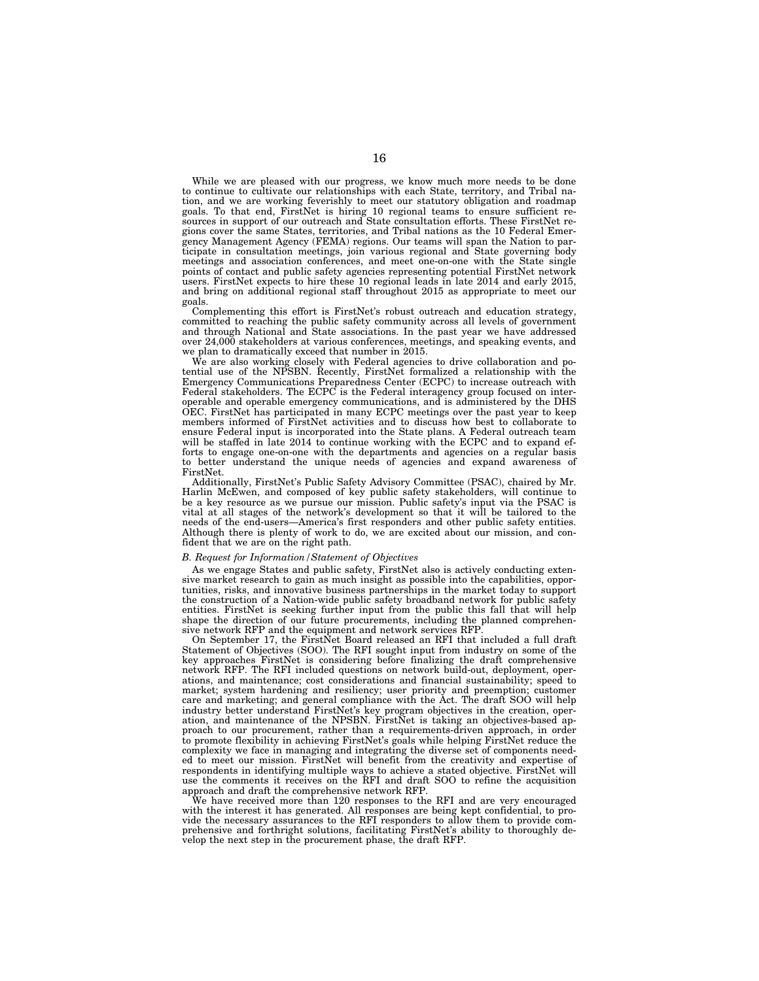While we are pleased with our progress, we know much more needs to be done to continue to cultivate our relationships with each State, territory, and Tribal nation, and we are working feverishly to meet our statutory obligation and roadmap goals. To that end, FirstNet is hiring 10 regional teams to ensure sufficient resources in support of our outreach and State consultation efforts. These FirstNet regions cover the same States, territories, and Tribal nations as the 10 Federal Emergency Management Agency (FEMA) regions. Our teams will span the Nation to participate in consultation meetings, join various regional and State governing body meetings and association conferences, and meet one-on-one with the State single points of contact and public safety agencies representing potential FirstNet network users. FirstNet expects to hire these 10 regional leads in late 2014 and early 2015, and bring on additional regional staff throughout 2015 as appropriate to meet our goals.

Complementing this effort is FirstNet's robust outreach and education strategy, committed to reaching the public safety community across all levels of government and through National and State associations. In the past year we have addressed over 24,000 stakeholders at various conferences, meetings, and speaking events, and we plan to dramatically exceed that number in 2015.

We are also working closely with Federal agencies to drive collaboration and potential use of the NPSBN. Recently, FirstNet formalized a relationship with the Emergency Communications Preparedness Center (ECPC) to increase outreach with Federal stakeholders. The ECPC is the Federal interagency group focused on interoperable and operable emergency communications, and is administered by the DHS OEC. FirstNet has participated in many ECPC meetings over the past year to keep members informed of FirstNet activities and to discuss how best to collaborate to ensure Federal input is incorporated into the State plans. A Federal outreach team will be staffed in late 2014 to continue working with the ECPC and to expand efforts to engage one-on-one with the departments and agencies on a regular basis to better understand the unique needs of agencies and expand awareness of FirstNet.

Additionally, FirstNet's Public Safety Advisory Committee (PSAC), chaired by Mr. Harlin McEwen, and composed of key public safety stakeholders, will continue to be a key resource as we pursue our mission. Public safety's input via the PSAC is vital at all stages of the network's development so that it will be tailored to the needs of the end-users—America's first responders and other public safety entities. Although there is plenty of work to do, we are excited about our mission, and confident that we are on the right path.

#### *B. Request for Information/Statement of Objectives*

As we engage States and public safety, FirstNet also is actively conducting extensive market research to gain as much insight as possible into the capabilities, opportunities, risks, and innovative business partnerships in the market today to support the construction of a Nation-wide public safety broadband network for public safety entities. FirstNet is seeking further input from the public this fall that will help shape the direction of our future procurements, including the planned comprehensive network RFP and the equipment and network services RFP

On September 17, the FirstNet Board released an RFI that included a full draft Statement of Objectives (SOO). The RFI sought input from industry on some of the key approaches FirstNet is considering before finalizing the draft comprehensive network RFP. The RFI included questions on network build-out, deployment, operations, and maintenance; cost considerations and financial sustainability; speed to market; system hardening and resiliency; user priority and preemption; customer care and marketing; and general compliance with the Act. The draft SOO will help industry better understand FirstNet's key program objectives in the creation, operation, and maintenance of the NPSBN. FirstNet is taking an objectives-based approach to our procurement, rather than a requirements-driven approach, in order to promote flexibility in achieving FirstNet's goals while helping FirstNet reduce the complexity we face in managing and integrating the diverse set of components needed to meet our mission. FirstNet will benefit from the creativity and expertise of respondents in identifying multiple ways to achieve a stated objective. FirstNet will use the comments it receives on the RFI and draft SOO to refine the acquisition approach and draft the comprehensive network RFP.

We have received more than 120 responses to the RFI and are very encouraged with the interest it has generated. All responses are being kept confidential, to provide the necessary assurances to the RFI responders to allow them to provide comprehensive and forthright solutions, facilitating FirstNet's ability to thoroughly develop the next step in the procurement phase, the draft RFP.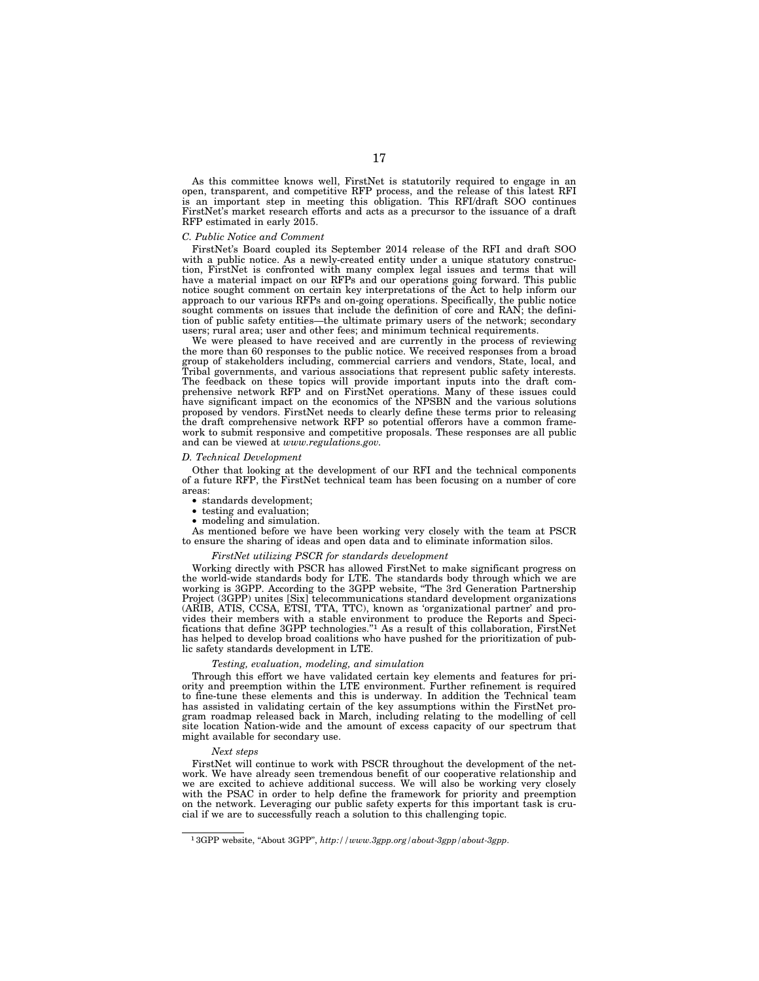As this committee knows well, FirstNet is statutorily required to engage in an open, transparent, and competitive RFP process, and the release of this latest RFI is an important step in meeting this obligation. This RFI/draft SOO continues FirstNet's market research efforts and acts as a precursor to the issuance of a draft RFP estimated in early 2015.

### *C. Public Notice and Comment*

FirstNet's Board coupled its September 2014 release of the RFI and draft SOO with a public notice. As a newly-created entity under a unique statutory construction, FirstNet is confronted with many complex legal issues and terms that will have a material impact on our RFPs and our operations going forward. This public notice sought comment on certain key interpretations of the Act to help inform our approach to our various RFPs and on-going operations. Specifically, the public notice sought comments on issues that include the definition of core and RAN; the definition of public safety entities—the ultimate primary users of the network; secondary users; rural area; user and other fees; and minimum technical requirements.

We were pleased to have received and are currently in the process of reviewing the more than 60 responses to the public notice. We received responses from a broad group of stakeholders including, commercial carriers and vendors, State, local, and Tribal governments, and various associations that represent public safety interests. The feedback on these topics will provide important inputs into the draft comprehensive network RFP and on FirstNet operations. Many of these issues could have significant impact on the economics of the NPSBN and the various solutions proposed by vendors. FirstNet needs to clearly define these terms prior to releasing the draft comprehensive network RFP so potential offerors have a common framework to submit responsive and competitive proposals. These responses are all public and can be viewed at *www.regulations.gov.* 

#### *D. Technical Development*

Other that looking at the development of our RFI and the technical components of a future RFP, the FirstNet technical team has been focusing on a number of core areas:

- standards development;
- testing and evaluation;
- modeling and simulation.

As mentioned before we have been working very closely with the team at PSCR to ensure the sharing of ideas and open data and to eliminate information silos.

#### *FirstNet utilizing PSCR for standards development*

Working directly with PSCR has allowed FirstNet to make significant progress on the world-wide standards body for LTE. The standards body through which we are working is 3GPP. According to the 3GPP website, "The 3rd Generation Partnership Project (3GPP) unites [Six] telecommunications standard development organizations (ARIB, ATIS, CCSA, ETSI, TTA, TTC), known as 'organizational partner' and provides their members with a stable environment to produce the Reports and Speci-fications that define 3GPP technologies.''1 As a result of this collaboration, FirstNet has helped to develop broad coalitions who have pushed for the prioritization of public safety standards development in LTE.

#### *Testing, evaluation, modeling, and simulation*

Through this effort we have validated certain key elements and features for priority and preemption within the LTE environment. Further refinement is required to fine-tune these elements and this is underway. In addition the Technical team has assisted in validating certain of the key assumptions within the FirstNet program roadmap released back in March, including relating to the modelling of cell site location Nation-wide and the amount of excess capacity of our spectrum that might available for secondary use.

#### *Next steps*

FirstNet will continue to work with PSCR throughout the development of the network. We have already seen tremendous benefit of our cooperative relationship and we are excited to achieve additional success. We will also be working very closely with the PSAC in order to help define the framework for priority and preemption on the network. Leveraging our public safety experts for this important task is crucial if we are to successfully reach a solution to this challenging topic.

<sup>1</sup> 3GPP website, ''About 3GPP'', *http://www.3gpp.org/about-3gpp/about-3gpp*.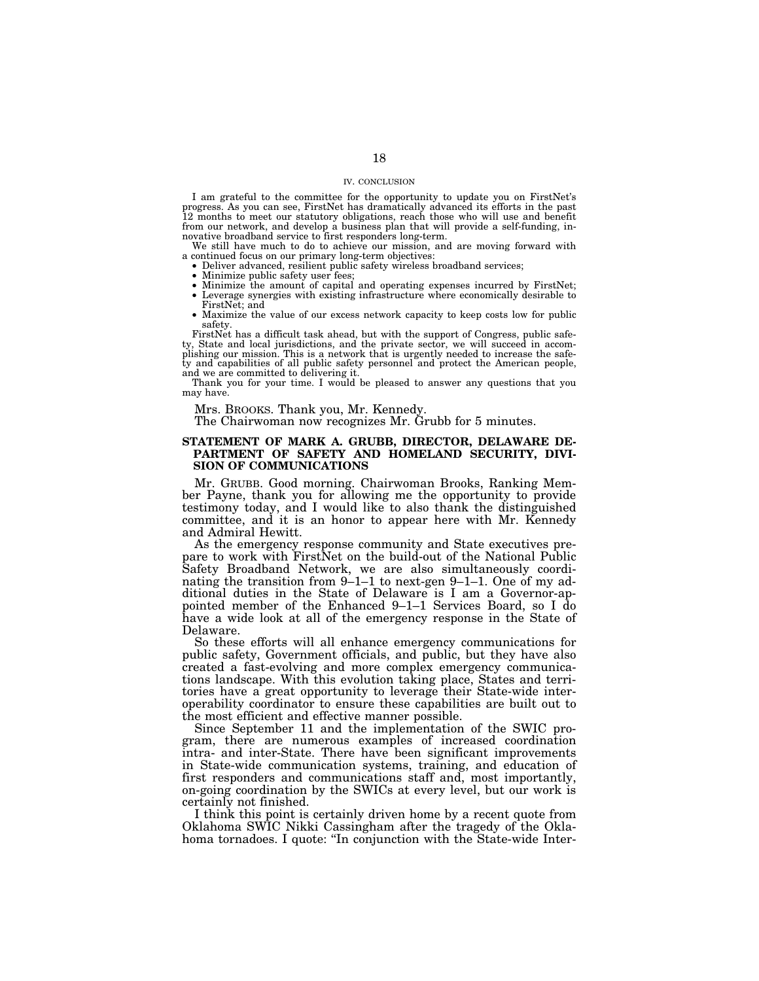#### IV. CONCLUSION

I am grateful to the committee for the opportunity to update you on FirstNet's progress. As you can see, FirstNet has dramatically advanced its efforts in the past 12 months to meet our statutory obligations, reach those who will use and benefit from our network, and develop a business plan that will provide a self-funding, innovative broadband service to first responders long-term.

We still have much to do to achieve our mission, and are moving forward with

- 
- 
- Deliver advanced, resilient public safety wireless broadband services;<br>• Minimize public safety user fees;<br>• Minimize the amount of capital and operating expenses incurred by FirstNet;<br>• Leverage synergies with existing
- Maximize the value of our excess network capacity to keep costs low for public
- safety. FirstNet has a difficult task ahead, but with the support of Congress, public safe-

ty, State and local jurisdictions, and the private sector, we will succeed in accomplishing our mission. This is a network that is urgently needed to increase the safe-<br>ty and capabilities of all public safety personnel an and we are committed to delivering it.

Thank you for your time. I would be pleased to answer any questions that you may have.

Mrs. BROOKS. Thank you, Mr. Kennedy.

The Chairwoman now recognizes Mr. Grubb for 5 minutes.

# **STATEMENT OF MARK A. GRUBB, DIRECTOR, DELAWARE DE-PARTMENT OF SAFETY AND HOMELAND SECURITY, DIVI-SION OF COMMUNICATIONS**

Mr. GRUBB. Good morning. Chairwoman Brooks, Ranking Member Payne, thank you for allowing me the opportunity to provide testimony today, and I would like to also thank the distinguished committee, and it is an honor to appear here with Mr. Kennedy and Admiral Hewitt.

As the emergency response community and State executives prepare to work with FirstNet on the build-out of the National Public Safety Broadband Network, we are also simultaneously coordinating the transition from 9–1–1 to next-gen 9–1–1. One of my additional duties in the State of Delaware is I am a Governor-appointed member of the Enhanced 9–1–1 Services Board, so I do have a wide look at all of the emergency response in the State of Delaware.

So these efforts will all enhance emergency communications for public safety, Government officials, and public, but they have also created a fast-evolving and more complex emergency communications landscape. With this evolution taking place, States and territories have a great opportunity to leverage their State-wide interoperability coordinator to ensure these capabilities are built out to the most efficient and effective manner possible.

Since September 11 and the implementation of the SWIC program, there are numerous examples of increased coordination intra- and inter-State. There have been significant improvements in State-wide communication systems, training, and education of first responders and communications staff and, most importantly, on-going coordination by the SWICs at every level, but our work is certainly not finished.

I think this point is certainly driven home by a recent quote from Oklahoma SWIC Nikki Cassingham after the tragedy of the Oklahoma tornadoes. I quote: "In conjunction with the State-wide Inter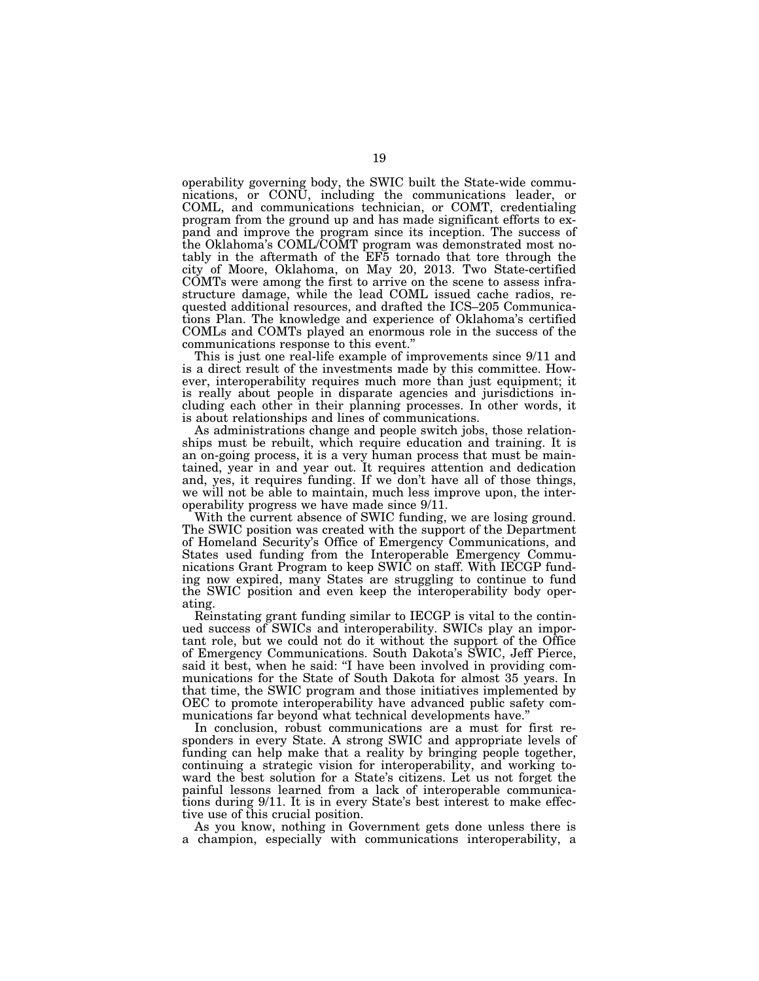operability governing body, the SWIC built the State-wide communications, or CONU, including the communications leader, or COML, and communications technician, or COMT, credentialing program from the ground up and has made significant efforts to expand and improve the program since its inception. The success of the Oklahoma's COML/COMT program was demonstrated most notably in the aftermath of the EF5 tornado that tore through the city of Moore, Oklahoma, on May 20, 2013. Two State-certified COMTs were among the first to arrive on the scene to assess infrastructure damage, while the lead COML issued cache radios, requested additional resources, and drafted the ICS–205 Communications Plan. The knowledge and experience of Oklahoma's certified COMLs and COMTs played an enormous role in the success of the communications response to this event.''

This is just one real-life example of improvements since 9/11 and is a direct result of the investments made by this committee. However, interoperability requires much more than just equipment; it is really about people in disparate agencies and jurisdictions including each other in their planning processes. In other words, it is about relationships and lines of communications.

As administrations change and people switch jobs, those relationships must be rebuilt, which require education and training. It is an on-going process, it is a very human process that must be maintained, year in and year out. It requires attention and dedication and, yes, it requires funding. If we don't have all of those things, we will not be able to maintain, much less improve upon, the interoperability progress we have made since 9/11.

With the current absence of SWIC funding, we are losing ground. The SWIC position was created with the support of the Department of Homeland Security's Office of Emergency Communications, and States used funding from the Interoperable Emergency Communications Grant Program to keep SWIC on staff. With IECGP funding now expired, many States are struggling to continue to fund the SWIC position and even keep the interoperability body operating.

Reinstating grant funding similar to IECGP is vital to the continued success of SWICs and interoperability. SWICs play an important role, but we could not do it without the support of the Office of Emergency Communications. South Dakota's SWIC, Jeff Pierce, said it best, when he said: "I have been involved in providing communications for the State of South Dakota for almost 35 years. In that time, the SWIC program and those initiatives implemented by OEC to promote interoperability have advanced public safety communications far beyond what technical developments have.''

In conclusion, robust communications are a must for first responders in every State. A strong SWIC and appropriate levels of funding can help make that a reality by bringing people together, continuing a strategic vision for interoperability, and working toward the best solution for a State's citizens. Let us not forget the painful lessons learned from a lack of interoperable communications during 9/11. It is in every State's best interest to make effective use of this crucial position.

As you know, nothing in Government gets done unless there is a champion, especially with communications interoperability, a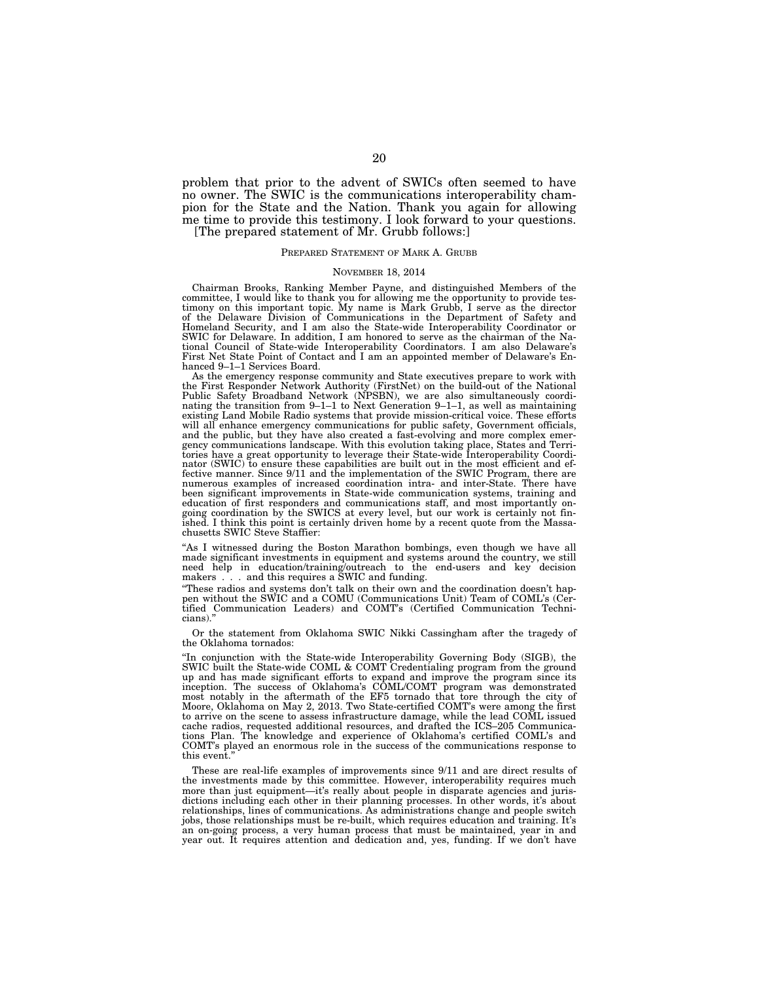problem that prior to the advent of SWICs often seemed to have no owner. The SWIC is the communications interoperability champion for the State and the Nation. Thank you again for allowing me time to provide this testimony. I look forward to your questions. [The prepared statement of Mr. Grubb follows:]

# PREPARED STATEMENT OF MARK A. GRUBB

#### NOVEMBER 18, 2014

Chairman Brooks, Ranking Member Payne, and distinguished Members of the committee, I would like to thank you for allowing me the opportunity to provide testimony on this important topic. My name is Mark Grubb, I serve as the director of the Delaware Division of Communications in the Department Homeland Security, and I am also the State-wide Interoperability Coordinator or SWIC for Delaware. In addition, I am honored to serve as the chairman of the National Council of State-wide Interoperability Coordinators. I am also Delaware's First Net State Point of Contact and I am an appointed member of Delaware's Enhanced 9–1–1 Services Board.

As the emergency response community and State executives prepare to work with the First Responder Network Authority (FirstNet) on the build-out of the National Public Safety Broadband Network (NPSBN), we are also simultane nating the transition from  $9-1-1$  to Next Generation  $9-1-1$ , as well as maintaining existing Land Mobile Radio systems that provide mission-critical voice. These efforts will all enhance emergency communications for public safety, Government officials, and the public, but they have also created a fast-evolving and more complex emergency communications landscape. With this evolution taking place, States and Territories have a great opportunity to leverage their State-wide Interoperability Coordi-nator (SWIC) to ensure these capabilities are built out in the most efficient and effective manner. Since 9/11 and the implementation of the SWIC Program, there are numerous examples of increased coordination intra- and inter-State. There have been significant improvements in State-wide communication systems, training and education of first responders and communications staff, and most importantly ongoing coordination by the SWICS at every level, but our work is certainly not finished. I think this point is certainly driven home by a recent quote from the Massachusetts SWIC Steve Staffier:

"As I witnessed during the Boston Marathon bombings, even though we have all made significant investments in equipment and systems around the country, we still need help in education/training/outreach to the end-users and key decision makers... and this requires a SWIC and funding.

''These radios and systems don't talk on their own and the coordination doesn't happen without the SWIC and a COMU (Communications Unit) Team of COML's (Certified Communication Leaders) and COMT's (Certified Communication Technicians).''

Or the statement from Oklahoma SWIC Nikki Cassingham after the tragedy of the Oklahoma tornados:

''In conjunction with the State-wide Interoperability Governing Body (SIGB), the SWIC built the State-wide COML & COMT Credentialing program from the ground up and has made significant efforts to expand and improve the program since its<br>inception. The success of Oklahoma's COML/COMT program was demonstrated<br>most notably in the aftermath of the EF5 tornado that tore through the Moore, Oklahoma on May 2, 2013. Two State-certified COMT's were among the first to arrive on the scene to assess infrastructure damage, while the lead COML issued cache radios, requested additional resources, and drafted the ICS–205 Communications Plan. The knowledge and experience of Oklahoma's certified COML's and COMT's played an enormous role in the success of the communications response to this event.

These are real-life examples of improvements since 9/11 and are direct results of the investments made by this committee. However, interoperability requires much more than just equipment—it's really about people in disparate agencies and jurisdictions including each other in their planning processes. In other words, it's about relationships, lines of communications. As administrations change and people switch jobs, those relationships must be re-built, which requires education and training. It's an on-going process, a very human process that must be maintained, year in and year out. It requires attention and dedication and, yes, funding. If we don't have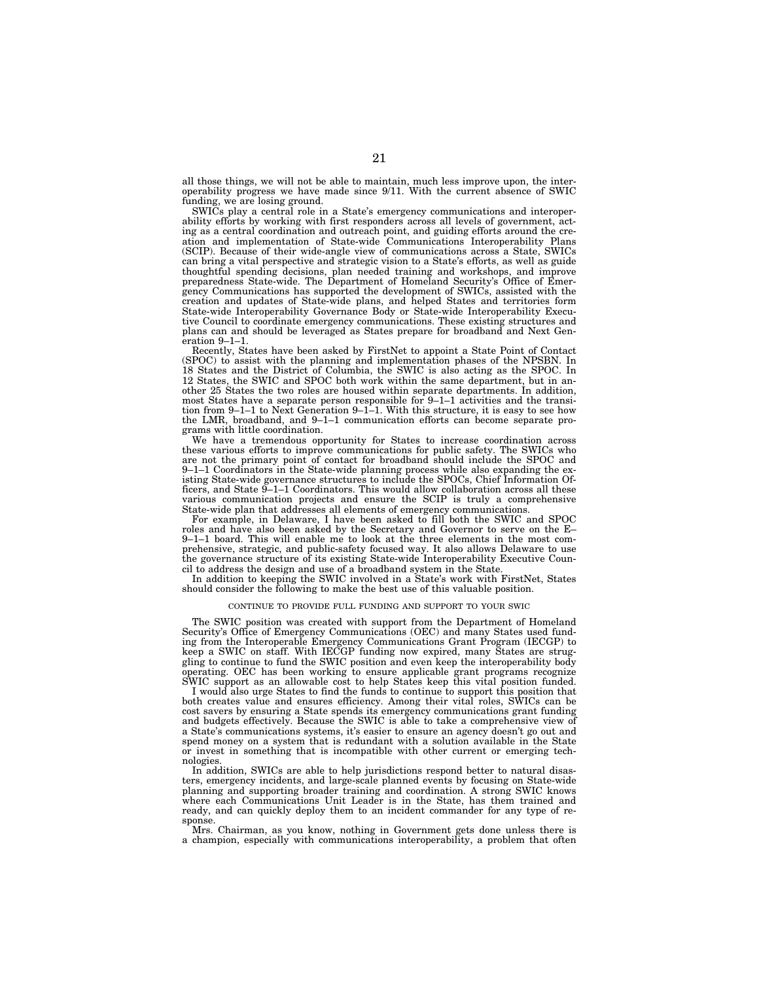all those things, we will not be able to maintain, much less improve upon, the interoperability progress we have made since 9/11. With the current absence of SWIC funding, we are losing ground.

SWICs play a central role in a State's emergency communications and interoperability efforts by working with first responders across all levels of government, acting as a central coordination and outreach point, and guiding efforts around the creation and implementation of State-wide Communications Interoperability Plans (SCIP). Because of their wide-angle view of communications across a State, SWICs can bring a vital perspective and strategic vision to a State's efforts, as well as guide thoughtful spending decisions, plan needed training and workshops, and improve preparedness State-wide. The Department of Homeland Security's Office of Emergency Communications has supported the development of SWICs, assisted with the creation and updates of State-wide plans, and helped States and territories form State-wide Interoperability Governance Body or State-wide Interoperability Executive Council to coordinate emergency communications. These existing structures and plans can and should be leveraged as States prepare for broadband and Next Generation 9–1–1.

Recently, States have been asked by FirstNet to appoint a State Point of Contact (SPOC) to assist with the planning and implementation phases of the NPSBN. In 18 States and the District of Columbia, the SWIC is also acting as the SPOC. In 12 States, the SWIC and SPOC both work within the same department, but in another 25 States the two roles are housed within separate departments. In addition, most States have a separate person responsible for 9–1–1 activities and the transition from 9–1–1 to Next Generation 9–1–1. With this structure, it is easy to see how the LMR, broadband, and 9–1–1 communication efforts can become separate programs with little coordination.

We have a tremendous opportunity for States to increase coordination across these various efforts to improve communications for public safety. The SWICs who are not the primary point of contact for broadband should include the SPOC and 9–1–1 Coordinators in the State-wide planning process while also expanding the existing State-wide governance structures to include the SPOCs, Chief Information Officers, and State  $\frac{9}{-1}$ -1 Coordinators. This would allow collaboration across all these various communication projects and ensure the SCIP is truly a comprehensive State-wide plan that addresses all elements of emergency communications.

For example, in Delaware, I have been asked to fill both the SWIC and SPOC roles and have also been asked by the Secretary and Governor to serve on the E– 9–1–1 board. This will enable me to look at the three elements in the most comprehensive, strategic, and public-safety focused way. It also allows Delaware to use the governance structure of its existing State-wide Interoperability Executive Council to address the design and use of a broadband system in the State.

In addition to keeping the SWIC involved in a State's work with FirstNet, States should consider the following to make the best use of this valuable position.

#### CONTINUE TO PROVIDE FULL FUNDING AND SUPPORT TO YOUR SWIC

The SWIC position was created with support from the Department of Homeland Security's Office of Emergency Communications (OEC) and many States used funding from the Interoperable Emergency Communications Grant Program (IECGP) to keep a SWIC on staff. With IECGP funding now expired, many States are struggling to continue to fund the SWIC position and even keep the interoperability body operating. OEC has been working to ensure applicable grant programs recognize SWIC support as an allowable cost to help States keep this vital position funded.

I would also urge States to find the funds to continue to support this position that both creates value and ensures efficiency. Among their vital roles, SWICs can be cost savers by ensuring a State spends its emergency communications grant funding and budgets effectively. Because the SWIC is able to take a comprehensive view of a State's communications systems, it's easier to ensure an agency doesn't go out and spend money on a system that is redundant with a solution available in the State or invest in something that is incompatible with other current or emerging technologies.

In addition, SWICs are able to help jurisdictions respond better to natural disasters, emergency incidents, and large-scale planned events by focusing on State-wide planning and supporting broader training and coordination. A strong SWIC knows where each Communications Unit Leader is in the State, has them trained and ready, and can quickly deploy them to an incident commander for any type of response.

Mrs. Chairman, as you know, nothing in Government gets done unless there is a champion, especially with communications interoperability, a problem that often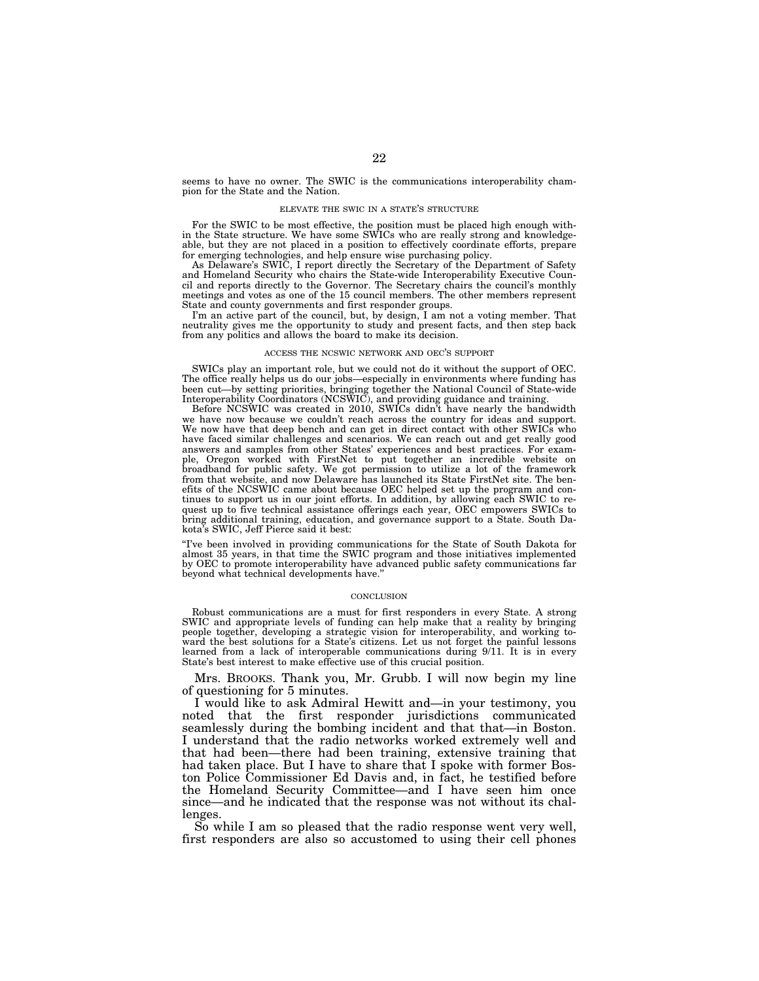seems to have no owner. The SWIC is the communications interoperability champion for the State and the Nation.

#### ELEVATE THE SWIC IN A STATE'S STRUCTURE

For the SWIC to be most effective, the position must be placed high enough within the State structure. We have some SWICs who are really strong and knowledgeable, but they are not placed in a position to effectively coordinate efforts, prepare for emerging technologies, and help ensure wise purchasing policy.

As Delaware's SWIC, I report directly the Secretary of the Department of Safety and Homeland Security who chairs the State-wide Interoperability Executive Council and reports directly to the Governor. The Secretary chairs the council's monthly meetings and votes as one of the 15 council members. The other members represent State and county governments and first responder groups.

I'm an active part of the council, but, by design, I am not a voting member. That neutrality gives me the opportunity to study and present facts, and then step back from any politics and allows the board to make its decision.

#### ACCESS THE NCSWIC NETWORK AND OEC'S SUPPORT

SWICs play an important role, but we could not do it without the support of OEC. The office really helps us do our jobs—especially in environments where funding has been cut—by setting priorities, bringing together the National Council of State-wide Interoperability Coordinators (NCSWIC), and providing guidance and training.

Before NCSWIC was created in 2010, SWICs didn't have nearly the bandwidth we have now because we couldn't reach across the country for ideas and support. We now have that deep bench and can get in direct contact with other SWICs who have faced similar challenges and scenarios. We can reach out and get really good answers and samples from other States' experiences and best practices. For example, Oregon worked with FirstNet to put together an incredible website on broadband for public safety. We got permission to utilize a lot of the framework from that website, and now Delaware has launched its State FirstNet site. The benefits of the NCSWIC came about because OEC helped set up the program and continues to support us in our joint efforts. In addition, by allowing each SWIC to request up to five technical assistance offerings each year, OEC empowers SWICs to bring additional training, education, and governance support to a State. South Dakota's SWIC, Jeff Pierce said it best:

''I've been involved in providing communications for the State of South Dakota for almost 35 years, in that time the SWIC program and those initiatives implemented by OEC to promote interoperability have advanced public safety communications far beyond what technical developments have.

#### **CONCLUSION**

Robust communications are a must for first responders in every State. A strong SWIC and appropriate levels of funding can help make that a reality by bringing people together, developing a strategic vision for interoperability, and working toward the best solutions for a State's citizens. Let us not forget the painful lessons learned from a lack of interoperable communications during 9/11. It is in every State's best interest to make effective use of this crucial position.

Mrs. BROOKS. Thank you, Mr. Grubb. I will now begin my line of questioning for 5 minutes.

I would like to ask Admiral Hewitt and—in your testimony, you noted that the first responder jurisdictions communicated seamlessly during the bombing incident and that that—in Boston. I understand that the radio networks worked extremely well and that had been—there had been training, extensive training that had taken place. But I have to share that I spoke with former Boston Police Commissioner Ed Davis and, in fact, he testified before the Homeland Security Committee—and I have seen him once since—and he indicated that the response was not without its challenges.

So while I am so pleased that the radio response went very well, first responders are also so accustomed to using their cell phones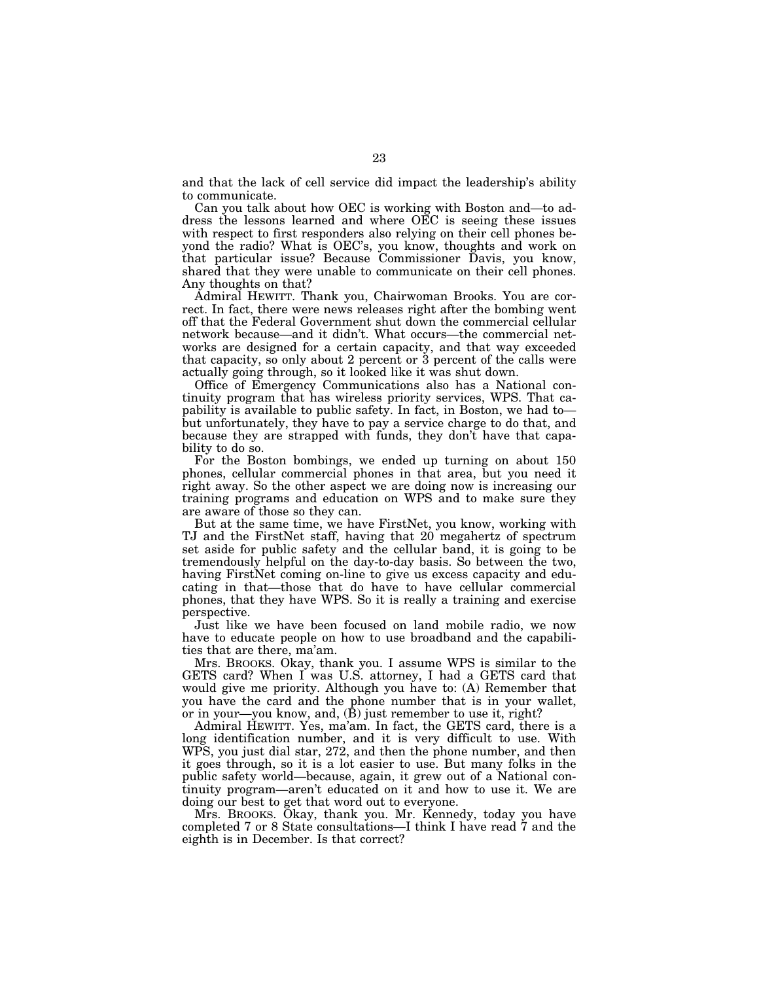and that the lack of cell service did impact the leadership's ability to communicate.

Can you talk about how OEC is working with Boston and—to address the lessons learned and where OEC is seeing these issues with respect to first responders also relying on their cell phones beyond the radio? What is OEC's, you know, thoughts and work on that particular issue? Because Commissioner Davis, you know, shared that they were unable to communicate on their cell phones. Any thoughts on that?

Admiral HEWITT. Thank you, Chairwoman Brooks. You are correct. In fact, there were news releases right after the bombing went off that the Federal Government shut down the commercial cellular network because—and it didn't. What occurs—the commercial networks are designed for a certain capacity, and that way exceeded that capacity, so only about 2 percent or 3 percent of the calls were actually going through, so it looked like it was shut down.

Office of Emergency Communications also has a National continuity program that has wireless priority services, WPS. That capability is available to public safety. In fact, in Boston, we had to but unfortunately, they have to pay a service charge to do that, and because they are strapped with funds, they don't have that capability to do so.

For the Boston bombings, we ended up turning on about 150 phones, cellular commercial phones in that area, but you need it right away. So the other aspect we are doing now is increasing our training programs and education on WPS and to make sure they are aware of those so they can.

But at the same time, we have FirstNet, you know, working with TJ and the FirstNet staff, having that 20 megahertz of spectrum set aside for public safety and the cellular band, it is going to be tremendously helpful on the day-to-day basis. So between the two, having FirstNet coming on-line to give us excess capacity and educating in that—those that do have to have cellular commercial phones, that they have WPS. So it is really a training and exercise perspective.

Just like we have been focused on land mobile radio, we now have to educate people on how to use broadband and the capabilities that are there, ma'am.

Mrs. BROOKS. Okay, thank you. I assume WPS is similar to the GETS card? When I was U.S. attorney, I had a GETS card that would give me priority. Although you have to: (A) Remember that you have the card and the phone number that is in your wallet, or in your—you know, and,  $(\bar{B})$  just remember to use it, right?

Admiral HEWITT. Yes, ma'am. In fact, the GETS card, there is a long identification number, and it is very difficult to use. With WPS, you just dial star, 272, and then the phone number, and then it goes through, so it is a lot easier to use. But many folks in the public safety world—because, again, it grew out of a National continuity program—aren't educated on it and how to use it. We are doing our best to get that word out to everyone.

Mrs. BROOKS. Okay, thank you. Mr. Kennedy, today you have completed 7 or 8 State consultations—I think I have read 7 and the eighth is in December. Is that correct?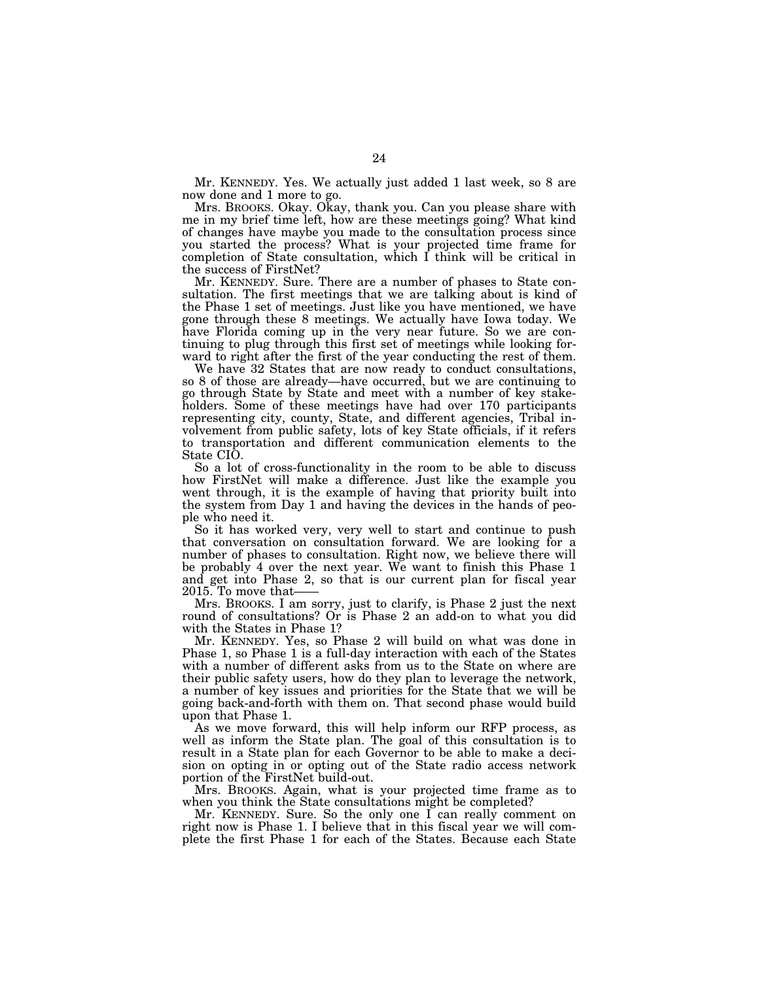Mr. KENNEDY. Yes. We actually just added 1 last week, so 8 are now done and 1 more to go.

Mrs. BROOKS. Okay. Okay, thank you. Can you please share with me in my brief time left, how are these meetings going? What kind of changes have maybe you made to the consultation process since you started the process? What is your projected time frame for completion of State consultation, which I think will be critical in the success of FirstNet?

Mr. KENNEDY. Sure. There are a number of phases to State consultation. The first meetings that we are talking about is kind of the Phase 1 set of meetings. Just like you have mentioned, we have gone through these 8 meetings. We actually have Iowa today. We have Florida coming up in the very near future. So we are continuing to plug through this first set of meetings while looking forward to right after the first of the year conducting the rest of them.

We have 32 States that are now ready to conduct consultations, so 8 of those are already—have occurred, but we are continuing to go through State by State and meet with a number of key stakeholders. Some of these meetings have had over 170 participants representing city, county, State, and different agencies, Tribal involvement from public safety, lots of key State officials, if it refers to transportation and different communication elements to the State CIO.

So a lot of cross-functionality in the room to be able to discuss how FirstNet will make a difference. Just like the example you went through, it is the example of having that priority built into the system from Day 1 and having the devices in the hands of people who need it.

So it has worked very, very well to start and continue to push that conversation on consultation forward. We are looking for a number of phases to consultation. Right now, we believe there will be probably 4 over the next year. We want to finish this Phase 1 and get into Phase 2, so that is our current plan for fiscal year 2015. To move that-

Mrs. BROOKS. I am sorry, just to clarify, is Phase 2 just the next round of consultations? Or is Phase 2 an add-on to what you did with the States in Phase 1?

Mr. KENNEDY. Yes, so Phase 2 will build on what was done in Phase 1, so Phase 1 is a full-day interaction with each of the States with a number of different asks from us to the State on where are their public safety users, how do they plan to leverage the network, a number of key issues and priorities for the State that we will be going back-and-forth with them on. That second phase would build upon that Phase 1.

As we move forward, this will help inform our RFP process, as well as inform the State plan. The goal of this consultation is to result in a State plan for each Governor to be able to make a decision on opting in or opting out of the State radio access network portion of the FirstNet build-out.

Mrs. BROOKS. Again, what is your projected time frame as to when you think the State consultations might be completed?

Mr. KENNEDY. Sure. So the only one I can really comment on right now is Phase 1. I believe that in this fiscal year we will complete the first Phase 1 for each of the States. Because each State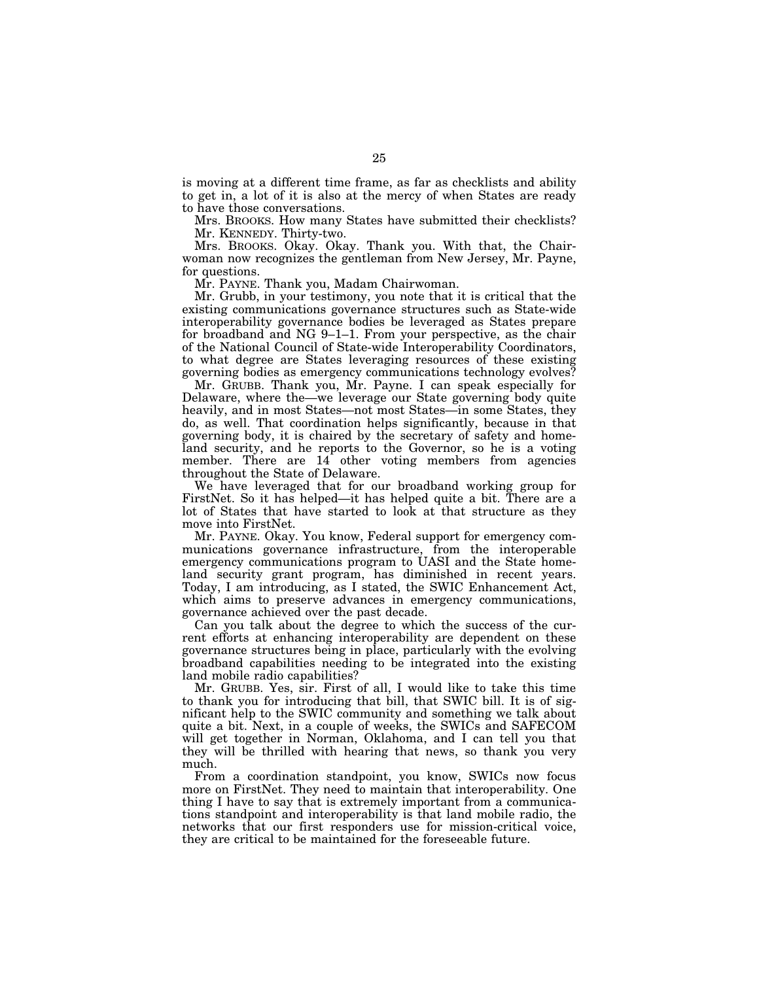is moving at a different time frame, as far as checklists and ability to get in, a lot of it is also at the mercy of when States are ready to have those conversations.

Mrs. BROOKS. How many States have submitted their checklists? Mr. KENNEDY. Thirty-two.

Mrs. BROOKS. Okay. Okay. Thank you. With that, the Chairwoman now recognizes the gentleman from New Jersey, Mr. Payne, for questions.

Mr. PAYNE. Thank you, Madam Chairwoman.

Mr. Grubb, in your testimony, you note that it is critical that the existing communications governance structures such as State-wide interoperability governance bodies be leveraged as States prepare for broadband and NG 9–1–1. From your perspective, as the chair of the National Council of State-wide Interoperability Coordinators, to what degree are States leveraging resources of these existing governing bodies as emergency communications technology evolves?

Mr. GRUBB. Thank you, Mr. Payne. I can speak especially for Delaware, where the—we leverage our State governing body quite heavily, and in most States—not most States—in some States, they do, as well. That coordination helps significantly, because in that governing body, it is chaired by the secretary of safety and homeland security, and he reports to the Governor, so he is a voting member. There are 14 other voting members from agencies throughout the State of Delaware.

We have leveraged that for our broadband working group for FirstNet. So it has helped—it has helped quite a bit. There are a lot of States that have started to look at that structure as they move into FirstNet.

Mr. PAYNE. Okay. You know, Federal support for emergency communications governance infrastructure, from the interoperable emergency communications program to UASI and the State homeland security grant program, has diminished in recent years. Today, I am introducing, as I stated, the SWIC Enhancement Act, which aims to preserve advances in emergency communications, governance achieved over the past decade.

Can you talk about the degree to which the success of the current efforts at enhancing interoperability are dependent on these governance structures being in place, particularly with the evolving broadband capabilities needing to be integrated into the existing land mobile radio capabilities?

Mr. GRUBB. Yes, sir. First of all, I would like to take this time to thank you for introducing that bill, that SWIC bill. It is of significant help to the SWIC community and something we talk about quite a bit. Next, in a couple of weeks, the SWICs and SAFECOM will get together in Norman, Oklahoma, and I can tell you that they will be thrilled with hearing that news, so thank you very much.

From a coordination standpoint, you know, SWICs now focus more on FirstNet. They need to maintain that interoperability. One thing I have to say that is extremely important from a communications standpoint and interoperability is that land mobile radio, the networks that our first responders use for mission-critical voice, they are critical to be maintained for the foreseeable future.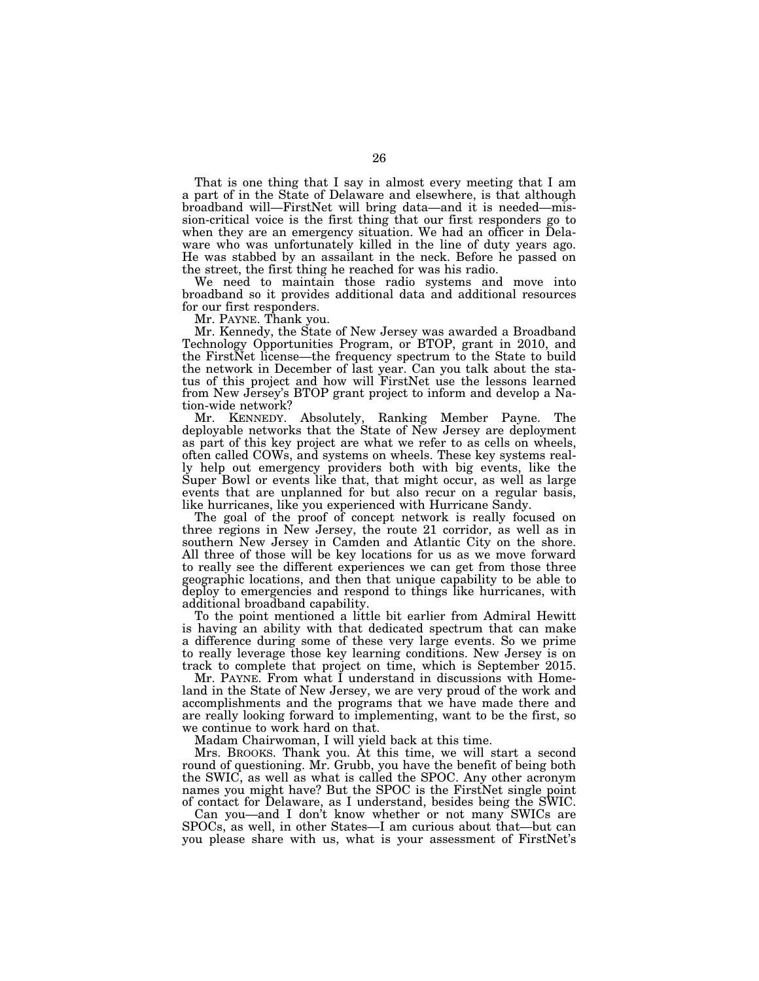That is one thing that I say in almost every meeting that I am a part of in the State of Delaware and elsewhere, is that although broadband will—FirstNet will bring data—and it is needed—mission-critical voice is the first thing that our first responders go to when they are an emergency situation. We had an officer in Delaware who was unfortunately killed in the line of duty years ago. He was stabbed by an assailant in the neck. Before he passed on the street, the first thing he reached for was his radio.

We need to maintain those radio systems and move into broadband so it provides additional data and additional resources for our first responders.

Mr. PAYNE. Thank you.

Mr. Kennedy, the State of New Jersey was awarded a Broadband Technology Opportunities Program, or BTOP, grant in 2010, and the FirstNet license—the frequency spectrum to the State to build the network in December of last year. Can you talk about the status of this project and how will FirstNet use the lessons learned from New Jersey's BTOP grant project to inform and develop a Nation-wide network?

Mr. KENNEDY. Absolutely, Ranking Member Payne. The deployable networks that the State of New Jersey are deployment as part of this key project are what we refer to as cells on wheels, often called COWs, and systems on wheels. These key systems really help out emergency providers both with big events, like the Super Bowl or events like that, that might occur, as well as large events that are unplanned for but also recur on a regular basis, like hurricanes, like you experienced with Hurricane Sandy.

The goal of the proof of concept network is really focused on three regions in New Jersey, the route 21 corridor, as well as in southern New Jersey in Camden and Atlantic City on the shore. All three of those will be key locations for us as we move forward to really see the different experiences we can get from those three geographic locations, and then that unique capability to be able to deploy to emergencies and respond to things like hurricanes, with additional broadband capability.

To the point mentioned a little bit earlier from Admiral Hewitt is having an ability with that dedicated spectrum that can make a difference during some of these very large events. So we prime to really leverage those key learning conditions. New Jersey is on track to complete that project on time, which is September 2015.

Mr. PAYNE. From what I understand in discussions with Homeland in the State of New Jersey, we are very proud of the work and accomplishments and the programs that we have made there and are really looking forward to implementing, want to be the first, so we continue to work hard on that.

Madam Chairwoman, I will yield back at this time.

Mrs. BROOKS. Thank you. At this time, we will start a second round of questioning. Mr. Grubb, you have the benefit of being both the SWIC, as well as what is called the SPOC. Any other acronym names you might have? But the SPOC is the FirstNet single point of contact for Delaware, as I understand, besides being the SWIC.

Can you—and I don't know whether or not many SWICs are SPOCs, as well, in other States—I am curious about that—but can you please share with us, what is your assessment of FirstNet's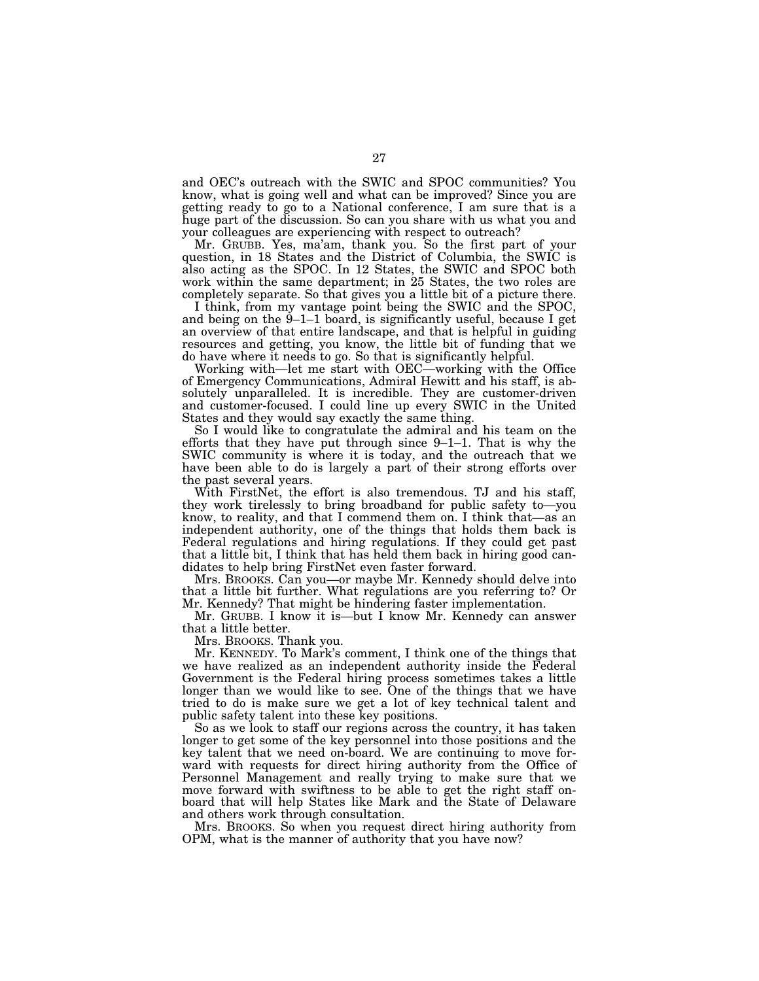and OEC's outreach with the SWIC and SPOC communities? You know, what is going well and what can be improved? Since you are getting ready to go to a National conference, I am sure that is a huge part of the discussion. So can you share with us what you and your colleagues are experiencing with respect to outreach?

Mr. GRUBB. Yes, ma'am, thank you. So the first part of your question, in 18 States and the District of Columbia, the SWIC is also acting as the SPOC. In 12 States, the SWIC and SPOC both work within the same department; in 25 States, the two roles are completely separate. So that gives you a little bit of a picture there.

I think, from my vantage point being the SWIC and the SPOC, and being on the 9–1–1 board, is significantly useful, because I get an overview of that entire landscape, and that is helpful in guiding resources and getting, you know, the little bit of funding that we do have where it needs to go. So that is significantly helpful.

Working with—let me start with OEC—working with the Office of Emergency Communications, Admiral Hewitt and his staff, is absolutely unparalleled. It is incredible. They are customer-driven and customer-focused. I could line up every SWIC in the United States and they would say exactly the same thing.

So I would like to congratulate the admiral and his team on the efforts that they have put through since 9–1–1. That is why the SWIC community is where it is today, and the outreach that we have been able to do is largely a part of their strong efforts over the past several years.

With FirstNet, the effort is also tremendous. TJ and his staff, they work tirelessly to bring broadband for public safety to—you know, to reality, and that I commend them on. I think that—as an independent authority, one of the things that holds them back is Federal regulations and hiring regulations. If they could get past that a little bit, I think that has held them back in hiring good candidates to help bring FirstNet even faster forward.

Mrs. BROOKS. Can you—or maybe Mr. Kennedy should delve into that a little bit further. What regulations are you referring to? Or Mr. Kennedy? That might be hindering faster implementation.

Mr. GRUBB. I know it is—but I know Mr. Kennedy can answer that a little better.

Mrs. BROOKS. Thank you.

Mr. KENNEDY. To Mark's comment, I think one of the things that we have realized as an independent authority inside the Federal Government is the Federal hiring process sometimes takes a little longer than we would like to see. One of the things that we have tried to do is make sure we get a lot of key technical talent and public safety talent into these key positions.

So as we look to staff our regions across the country, it has taken longer to get some of the key personnel into those positions and the key talent that we need on-board. We are continuing to move forward with requests for direct hiring authority from the Office of Personnel Management and really trying to make sure that we move forward with swiftness to be able to get the right staff onboard that will help States like Mark and the State of Delaware and others work through consultation.

Mrs. BROOKS. So when you request direct hiring authority from OPM, what is the manner of authority that you have now?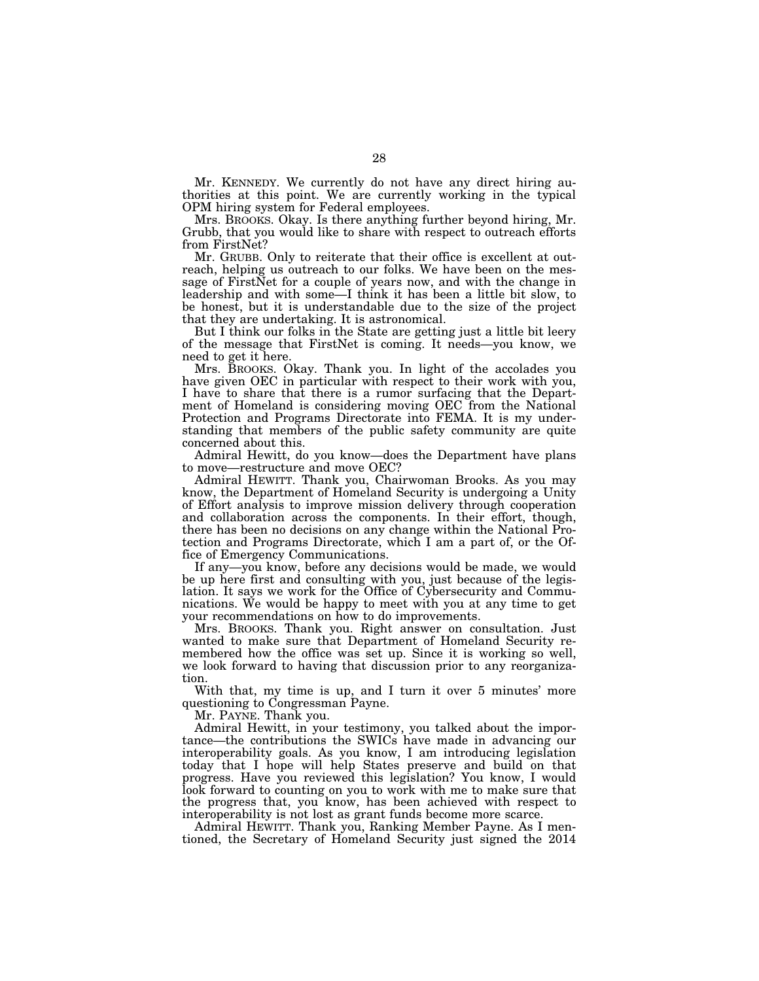Mr. KENNEDY. We currently do not have any direct hiring authorities at this point. We are currently working in the typical OPM hiring system for Federal employees.

Mrs. BROOKS. Okay. Is there anything further beyond hiring, Mr. Grubb, that you would like to share with respect to outreach efforts from FirstNet?

Mr. GRUBB. Only to reiterate that their office is excellent at outreach, helping us outreach to our folks. We have been on the message of FirstNet for a couple of years now, and with the change in leadership and with some—I think it has been a little bit slow, to be honest, but it is understandable due to the size of the project that they are undertaking. It is astronomical.

But I think our folks in the State are getting just a little bit leery of the message that FirstNet is coming. It needs—you know, we need to get it here.

Mrs. BROOKS. Okay. Thank you. In light of the accolades you have given OEC in particular with respect to their work with you, I have to share that there is a rumor surfacing that the Department of Homeland is considering moving OEC from the National Protection and Programs Directorate into FEMA. It is my understanding that members of the public safety community are quite concerned about this.

Admiral Hewitt, do you know—does the Department have plans to move—restructure and move OEC?

Admiral HEWITT. Thank you, Chairwoman Brooks. As you may know, the Department of Homeland Security is undergoing a Unity of Effort analysis to improve mission delivery through cooperation and collaboration across the components. In their effort, though, there has been no decisions on any change within the National Protection and Programs Directorate, which I am a part of, or the Office of Emergency Communications.

If any—you know, before any decisions would be made, we would be up here first and consulting with you, just because of the legislation. It says we work for the Office of Cybersecurity and Communications. We would be happy to meet with you at any time to get your recommendations on how to do improvements.

Mrs. BROOKS. Thank you. Right answer on consultation. Just wanted to make sure that Department of Homeland Security remembered how the office was set up. Since it is working so well, we look forward to having that discussion prior to any reorganization.

With that, my time is up, and I turn it over 5 minutes' more questioning to Congressman Payne.

Mr. PAYNE. Thank you.

Admiral Hewitt, in your testimony, you talked about the importance—the contributions the SWICs have made in advancing our interoperability goals. As you know, I am introducing legislation today that I hope will help States preserve and build on that progress. Have you reviewed this legislation? You know, I would look forward to counting on you to work with me to make sure that the progress that, you know, has been achieved with respect to interoperability is not lost as grant funds become more scarce.

Admiral HEWITT. Thank you, Ranking Member Payne. As I mentioned, the Secretary of Homeland Security just signed the 2014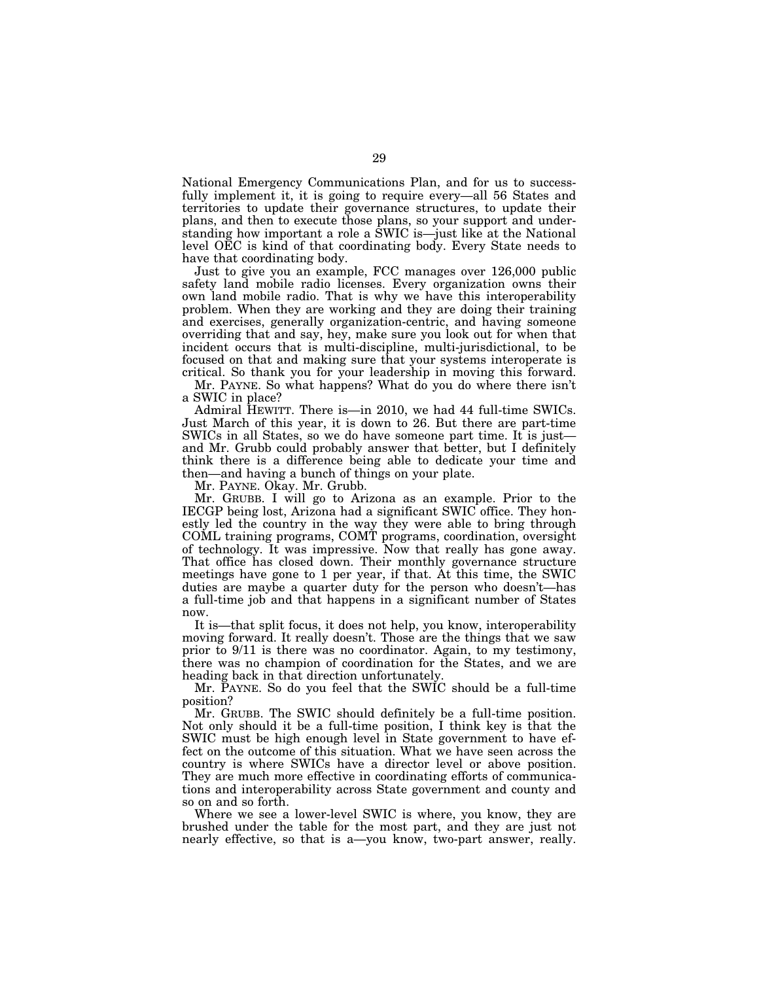National Emergency Communications Plan, and for us to successfully implement it, it is going to require every—all 56 States and territories to update their governance structures, to update their plans, and then to execute those plans, so your support and understanding how important a role a SWIC is—just like at the National level OEC is kind of that coordinating body. Every State needs to have that coordinating body.

Just to give you an example, FCC manages over 126,000 public safety land mobile radio licenses. Every organization owns their own land mobile radio. That is why we have this interoperability problem. When they are working and they are doing their training and exercises, generally organization-centric, and having someone overriding that and say, hey, make sure you look out for when that incident occurs that is multi-discipline, multi-jurisdictional, to be focused on that and making sure that your systems interoperate is critical. So thank you for your leadership in moving this forward.

Mr. PAYNE. So what happens? What do you do where there isn't a SWIC in place?

Admiral HEWITT. There is—in 2010, we had 44 full-time SWICs. Just March of this year, it is down to 26. But there are part-time SWICs in all States, so we do have someone part time. It is just and Mr. Grubb could probably answer that better, but I definitely think there is a difference being able to dedicate your time and then—and having a bunch of things on your plate.

Mr. PAYNE. Okay. Mr. Grubb.

Mr. GRUBB. I will go to Arizona as an example. Prior to the IECGP being lost, Arizona had a significant SWIC office. They honestly led the country in the way they were able to bring through COML training programs, COMT programs, coordination, oversight of technology. It was impressive. Now that really has gone away. That office has closed down. Their monthly governance structure meetings have gone to 1 per year, if that. At this time, the SWIC duties are maybe a quarter duty for the person who doesn't—has a full-time job and that happens in a significant number of States now.

It is—that split focus, it does not help, you know, interoperability moving forward. It really doesn't. Those are the things that we saw prior to 9/11 is there was no coordinator. Again, to my testimony, there was no champion of coordination for the States, and we are heading back in that direction unfortunately.

Mr. PAYNE. So do you feel that the SWIC should be a full-time position?

Mr. GRUBB. The SWIC should definitely be a full-time position. Not only should it be a full-time position, I think key is that the SWIC must be high enough level in State government to have effect on the outcome of this situation. What we have seen across the country is where SWICs have a director level or above position. They are much more effective in coordinating efforts of communications and interoperability across State government and county and so on and so forth.

Where we see a lower-level SWIC is where, you know, they are brushed under the table for the most part, and they are just not nearly effective, so that is a—you know, two-part answer, really.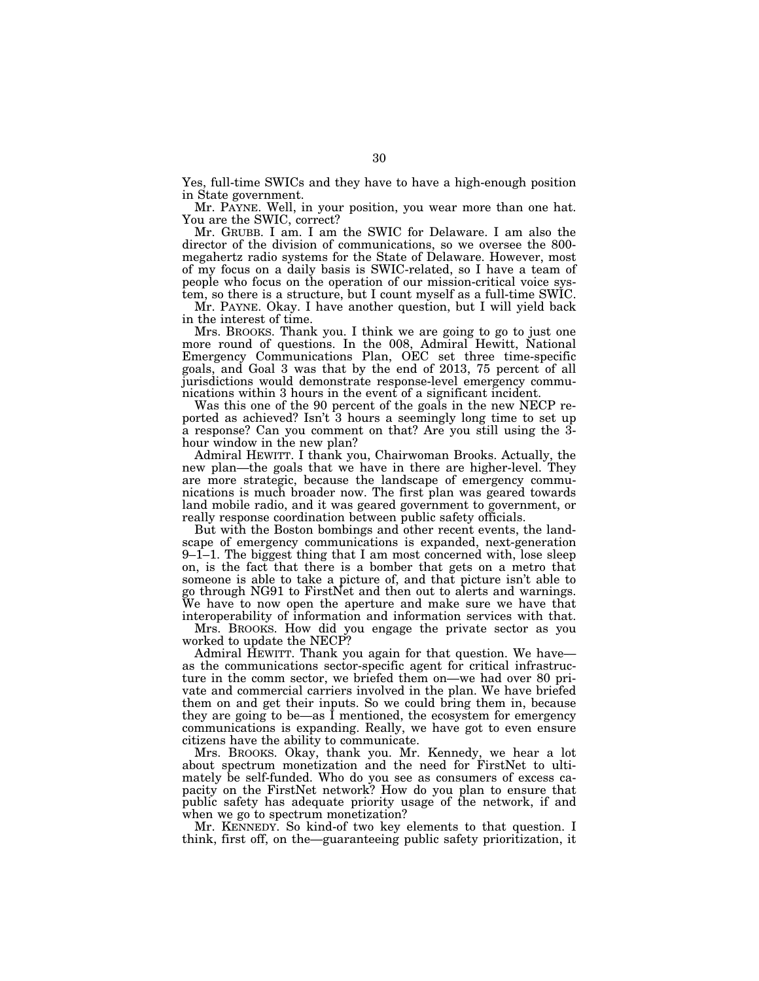Yes, full-time SWICs and they have to have a high-enough position in State government.

Mr. PAYNE. Well, in your position, you wear more than one hat. You are the SWIC, correct?

Mr. GRUBB. I am. I am the SWIC for Delaware. I am also the director of the division of communications, so we oversee the 800 megahertz radio systems for the State of Delaware. However, most of my focus on a daily basis is SWIC-related, so I have a team of people who focus on the operation of our mission-critical voice system, so there is a structure, but I count myself as a full-time SWIC.

Mr. PAYNE. Okay. I have another question, but I will yield back in the interest of time.

Mrs. BROOKS. Thank you. I think we are going to go to just one more round of questions. In the 008, Admiral Hewitt, National Emergency Communications Plan, OEC set three time-specific goals, and Goal 3 was that by the end of 2013, 75 percent of all jurisdictions would demonstrate response-level emergency communications within 3 hours in the event of a significant incident.

Was this one of the 90 percent of the goals in the new NECP reported as achieved? Isn't 3 hours a seemingly long time to set up a response? Can you comment on that? Are you still using the 3 hour window in the new plan?

Admiral HEWITT. I thank you, Chairwoman Brooks. Actually, the new plan—the goals that we have in there are higher-level. They are more strategic, because the landscape of emergency communications is much broader now. The first plan was geared towards land mobile radio, and it was geared government to government, or really response coordination between public safety officials.

But with the Boston bombings and other recent events, the landscape of emergency communications is expanded, next-generation 9–1–1. The biggest thing that I am most concerned with, lose sleep on, is the fact that there is a bomber that gets on a metro that someone is able to take a picture of, and that picture isn't able to go through NG91 to FirstNet and then out to alerts and warnings. We have to now open the aperture and make sure we have that interoperability of information and information services with that.

Mrs. BROOKS. How did you engage the private sector as you worked to update the NECP?

Admiral HEWITT. Thank you again for that question. We have as the communications sector-specific agent for critical infrastructure in the comm sector, we briefed them on—we had over 80 private and commercial carriers involved in the plan. We have briefed them on and get their inputs. So we could bring them in, because they are going to be—as I mentioned, the ecosystem for emergency communications is expanding. Really, we have got to even ensure citizens have the ability to communicate.

Mrs. BROOKS. Okay, thank you. Mr. Kennedy, we hear a lot about spectrum monetization and the need for FirstNet to ultimately be self-funded. Who do you see as consumers of excess capacity on the FirstNet network? How do you plan to ensure that public safety has adequate priority usage of the network, if and when we go to spectrum monetization?

Mr. KENNEDY. So kind-of two key elements to that question. I think, first off, on the—guaranteeing public safety prioritization, it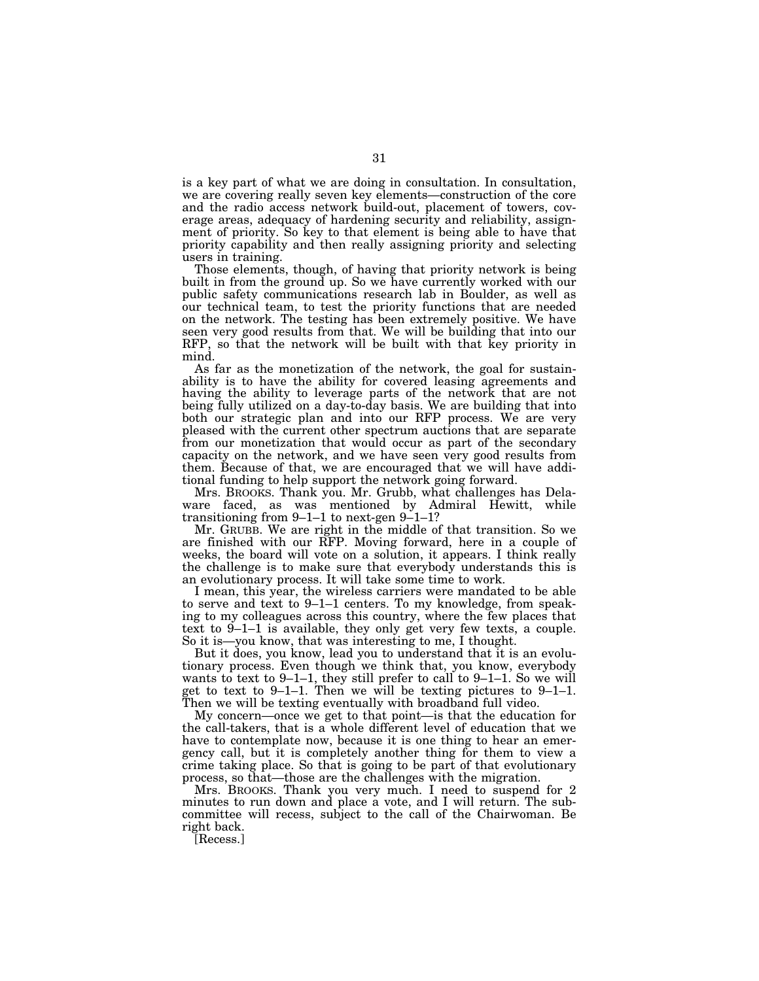is a key part of what we are doing in consultation. In consultation, we are covering really seven key elements—construction of the core and the radio access network build-out, placement of towers, coverage areas, adequacy of hardening security and reliability, assignment of priority. So key to that element is being able to have that priority capability and then really assigning priority and selecting users in training.

Those elements, though, of having that priority network is being built in from the ground up. So we have currently worked with our public safety communications research lab in Boulder, as well as our technical team, to test the priority functions that are needed on the network. The testing has been extremely positive. We have seen very good results from that. We will be building that into our RFP, so that the network will be built with that key priority in mind.

As far as the monetization of the network, the goal for sustainability is to have the ability for covered leasing agreements and having the ability to leverage parts of the network that are not being fully utilized on a day-to-day basis. We are building that into both our strategic plan and into our RFP process. We are very pleased with the current other spectrum auctions that are separate from our monetization that would occur as part of the secondary capacity on the network, and we have seen very good results from them. Because of that, we are encouraged that we will have additional funding to help support the network going forward.

Mrs. BROOKS. Thank you. Mr. Grubb, what challenges has Delaware faced, as was mentioned by Admiral Hewitt, while transitioning from 9–1–1 to next-gen 9–1–1?

Mr. GRUBB. We are right in the middle of that transition. So we are finished with our RFP. Moving forward, here in a couple of weeks, the board will vote on a solution, it appears. I think really the challenge is to make sure that everybody understands this is an evolutionary process. It will take some time to work.

I mean, this year, the wireless carriers were mandated to be able to serve and text to 9–1–1 centers. To my knowledge, from speaking to my colleagues across this country, where the few places that text to  $9-1-1$  is available, they only get very few texts, a couple. So it is—you know, that was interesting to me, I thought.

But it does, you know, lead you to understand that it is an evolutionary process. Even though we think that, you know, everybody wants to text to 9–1–1, they still prefer to call to 9–1–1. So we will get to text to 9–1–1. Then we will be texting pictures to 9–1–1. Then we will be texting eventually with broadband full video.

My concern—once we get to that point—is that the education for the call-takers, that is a whole different level of education that we have to contemplate now, because it is one thing to hear an emergency call, but it is completely another thing for them to view a crime taking place. So that is going to be part of that evolutionary process, so that—those are the challenges with the migration.

Mrs. BROOKS. Thank you very much. I need to suspend for 2 minutes to run down and place a vote, and I will return. The subcommittee will recess, subject to the call of the Chairwoman. Be right back.

[Recess.]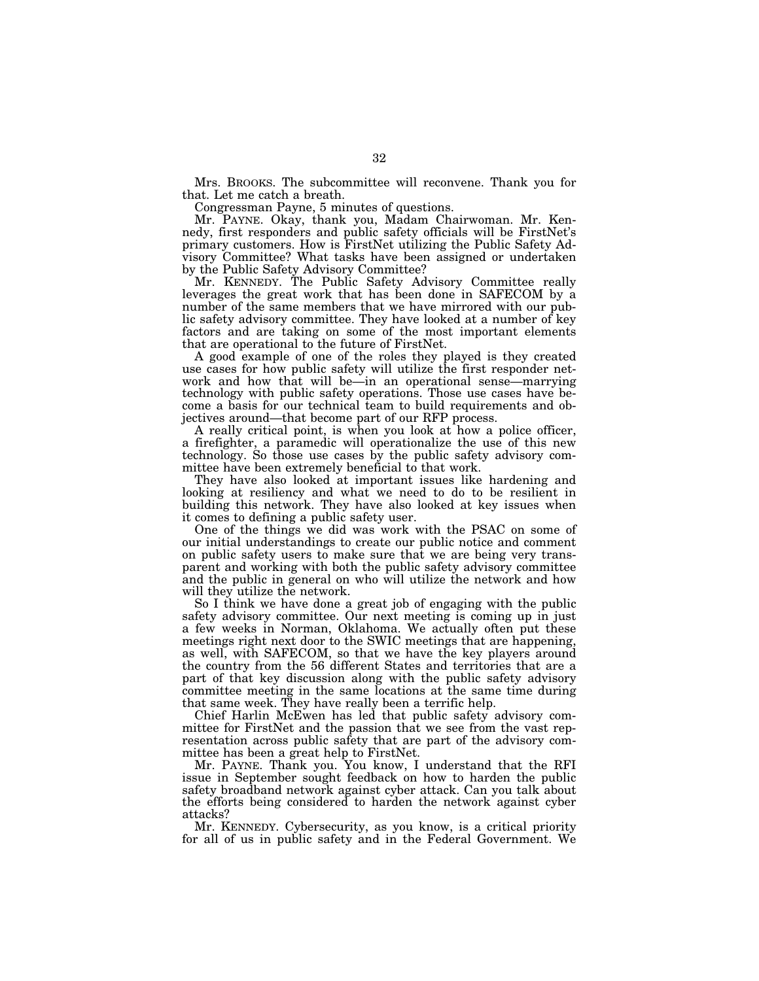Mrs. BROOKS. The subcommittee will reconvene. Thank you for that. Let me catch a breath.

Congressman Payne, 5 minutes of questions.

Mr. PAYNE. Okay, thank you, Madam Chairwoman. Mr. Kennedy, first responders and public safety officials will be FirstNet's primary customers. How is FirstNet utilizing the Public Safety Advisory Committee? What tasks have been assigned or undertaken by the Public Safety Advisory Committee?

Mr. KENNEDY. The Public Safety Advisory Committee really leverages the great work that has been done in SAFECOM by a number of the same members that we have mirrored with our public safety advisory committee. They have looked at a number of key factors and are taking on some of the most important elements that are operational to the future of FirstNet.

A good example of one of the roles they played is they created use cases for how public safety will utilize the first responder network and how that will be—in an operational sense—marrying technology with public safety operations. Those use cases have become a basis for our technical team to build requirements and objectives around—that become part of our RFP process.

A really critical point, is when you look at how a police officer, a firefighter, a paramedic will operationalize the use of this new technology. So those use cases by the public safety advisory committee have been extremely beneficial to that work.

They have also looked at important issues like hardening and looking at resiliency and what we need to do to be resilient in building this network. They have also looked at key issues when it comes to defining a public safety user.

One of the things we did was work with the PSAC on some of our initial understandings to create our public notice and comment on public safety users to make sure that we are being very transparent and working with both the public safety advisory committee and the public in general on who will utilize the network and how will they utilize the network.

So I think we have done a great job of engaging with the public safety advisory committee. Our next meeting is coming up in just a few weeks in Norman, Oklahoma. We actually often put these meetings right next door to the SWIC meetings that are happening, as well, with SAFECOM, so that we have the key players around the country from the 56 different States and territories that are a part of that key discussion along with the public safety advisory committee meeting in the same locations at the same time during that same week. They have really been a terrific help.

Chief Harlin McEwen has led that public safety advisory committee for FirstNet and the passion that we see from the vast representation across public safety that are part of the advisory committee has been a great help to FirstNet.

Mr. PAYNE. Thank you. You know, I understand that the RFI issue in September sought feedback on how to harden the public safety broadband network against cyber attack. Can you talk about the efforts being considered to harden the network against cyber attacks?

Mr. KENNEDY. Cybersecurity, as you know, is a critical priority for all of us in public safety and in the Federal Government. We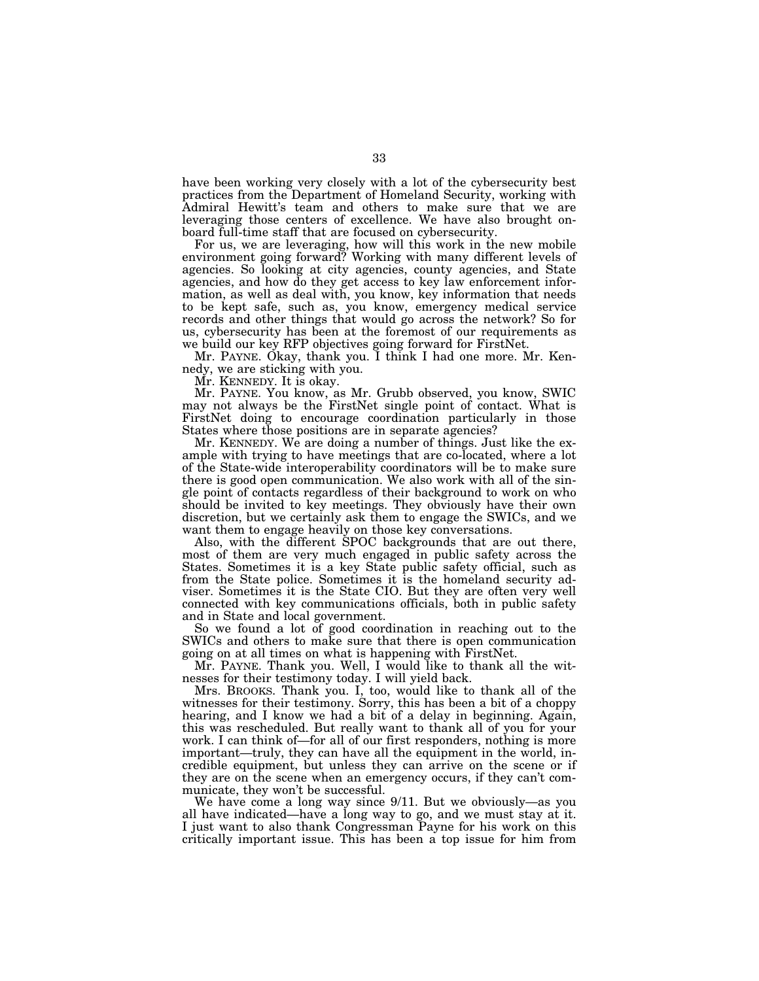have been working very closely with a lot of the cybersecurity best practices from the Department of Homeland Security, working with Admiral Hewitt's team and others to make sure that we are leveraging those centers of excellence. We have also brought onboard full-time staff that are focused on cybersecurity.

For us, we are leveraging, how will this work in the new mobile environment going forward? Working with many different levels of agencies. So looking at city agencies, county agencies, and State agencies, and how do they get access to key law enforcement information, as well as deal with, you know, key information that needs to be kept safe, such as, you know, emergency medical service records and other things that would go across the network? So for us, cybersecurity has been at the foremost of our requirements as we build our key RFP objectives going forward for FirstNet.

Mr. PAYNE. Okay, thank you. I think I had one more. Mr. Kennedy, we are sticking with you.

Mr. KENNEDY. It is okay.

Mr. PAYNE. You know, as Mr. Grubb observed, you know, SWIC may not always be the FirstNet single point of contact. What is FirstNet doing to encourage coordination particularly in those States where those positions are in separate agencies?

Mr. KENNEDY. We are doing a number of things. Just like the example with trying to have meetings that are co-located, where a lot of the State-wide interoperability coordinators will be to make sure there is good open communication. We also work with all of the single point of contacts regardless of their background to work on who should be invited to key meetings. They obviously have their own discretion, but we certainly ask them to engage the SWICs, and we want them to engage heavily on those key conversations.

Also, with the different SPOC backgrounds that are out there, most of them are very much engaged in public safety across the States. Sometimes it is a key State public safety official, such as from the State police. Sometimes it is the homeland security adviser. Sometimes it is the State CIO. But they are often very well connected with key communications officials, both in public safety and in State and local government.

So we found a lot of good coordination in reaching out to the SWICs and others to make sure that there is open communication going on at all times on what is happening with FirstNet.

Mr. PAYNE. Thank you. Well, I would like to thank all the witnesses for their testimony today. I will yield back.

Mrs. BROOKS. Thank you. I, too, would like to thank all of the witnesses for their testimony. Sorry, this has been a bit of a choppy hearing, and I know we had a bit of a delay in beginning. Again, this was rescheduled. But really want to thank all of you for your work. I can think of—for all of our first responders, nothing is more important—truly, they can have all the equipment in the world, incredible equipment, but unless they can arrive on the scene or if they are on the scene when an emergency occurs, if they can't communicate, they won't be successful.

We have come a long way since 9/11. But we obviously—as you all have indicated—have a long way to go, and we must stay at it. I just want to also thank Congressman Payne for his work on this critically important issue. This has been a top issue for him from